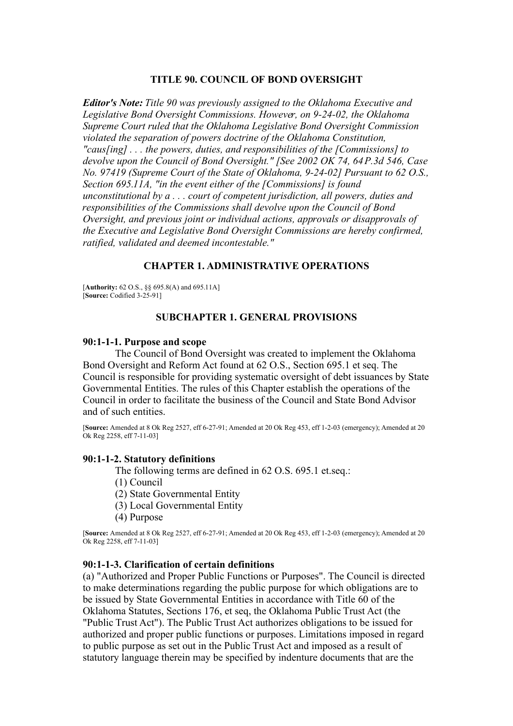### **TITLE 90. COUNCIL OF BOND OVERSIGHT**

*Editor's Note: Title 90 was previously assigned to the Oklahoma Executive and Legislative Bond Oversight Commissions. However, on 9-24-02, the Oklahoma Supreme Court ruled that the Oklahoma Legislative Bond Oversight Commission violated the separation of powers doctrine of the Oklahoma Constitution, "caus[ing] . . . the powers, duties, and responsibilities of the [Commissions] to devolve upon the Council of Bond Oversight." [See 2002 OK 74, 64 P.3d 546, Case No. 97419 (Supreme Court of the State of Oklahoma, 9-24-02] Pursuant to 62 O.S., Section 695.11A, "in the event either of the [Commissions] is found unconstitutional by a . . . court of competent jurisdiction, all powers, duties and responsibilities of the Commissions shall devolve upon the Council of Bond Oversight, and previous joint or individual actions, approvals or disapprovals of the Executive and Legislative Bond Oversight Commissions are hereby confirmed, ratified, validated and deemed incontestable."*

### **CHAPTER 1. ADMINISTRATIVE OPERATIONS**

[**Authority:** 62 O.S., §§ 695.8(A) and 695.11A] [**Source:** Codified 3-25-91]

### **SUBCHAPTER 1. GENERAL PROVISIONS**

#### **90:1-1-1. Purpose and scope**

The Council of Bond Oversight was created to implement the Oklahoma Bond Oversight and Reform Act found at 62 O.S., Section 695.1 et seq. The Council is responsible for providing systematic oversight of debt issuances by State Governmental Entities. The rules of this Chapter establish the operations of the Council in order to facilitate the business of the Council and State Bond Advisor and of such entities.

[**Source:** Amended at 8 Ok Reg 2527, eff 6-27-91; Amended at 20 Ok Reg 453, eff 1-2-03 (emergency); Amended at 20 Ok Reg 2258, eff 7-11-03]

### **90:1-1-2. Statutory definitions**

The following terms are defined in 62 O.S. 695.1 et.seq.:

(1) Council

(2) State Governmental Entity

(3) Local Governmental Entity

(4) Purpose

[**Source:** Amended at 8 Ok Reg 2527, eff 6-27-91; Amended at 20 Ok Reg 453, eff 1-2-03 (emergency); Amended at 20 Ok Reg 2258, eff 7-11-03]

## **90:1-1-3. Clarification of certain definitions**

(a) "Authorized and Proper Public Functions or Purposes". The Council is directed to make determinations regarding the public purpose for which obligations are to be issued by State Governmental Entities in accordance with Title 60 of the Oklahoma Statutes, Sections 176, et seq, the Oklahoma Public Trust Act (the "Public Trust Act"). The Public Trust Act authorizes obligations to be issued for authorized and proper public functions or purposes. Limitations imposed in regard to public purpose as set out in the Public Trust Act and imposed as a result of statutory language therein may be specified by indenture documents that are the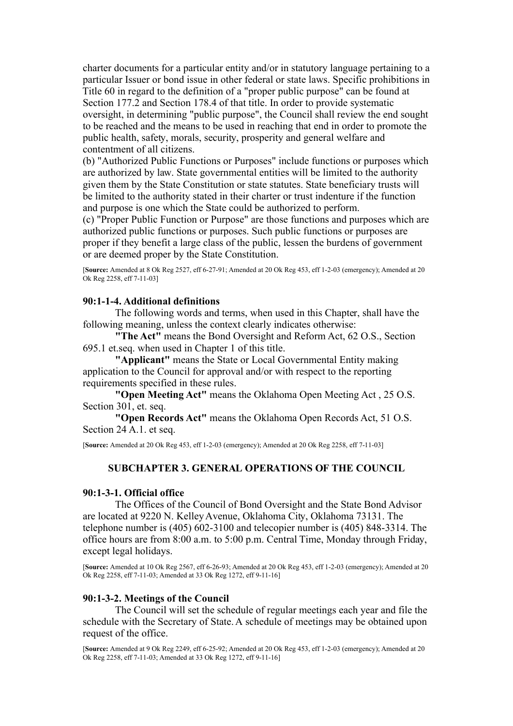charter documents for a particular entity and/or in statutory language pertaining to a particular Issuer or bond issue in other federal or state laws. Specific prohibitions in Title 60 in regard to the definition of a "proper public purpose" can be found at Section 177.2 and Section 178.4 of that title. In order to provide systematic oversight, in determining "public purpose", the Council shall review the end sought to be reached and the means to be used in reaching that end in order to promote the public health, safety, morals, security, prosperity and general welfare and contentment of all citizens.

(b) "Authorized Public Functions or Purposes" include functions or purposes which are authorized by law. State governmental entities will be limited to the authority given them by the State Constitution or state statutes. State beneficiary trusts will be limited to the authority stated in their charter or trust indenture if the function and purpose is one which the State could be authorized to perform.

(c) "Proper Public Function or Purpose" are those functions and purposes which are authorized public functions or purposes. Such public functions or purposes are proper if they benefit a large class of the public, lessen the burdens of government or are deemed proper by the State Constitution.

[**Source:** Amended at 8 Ok Reg 2527, eff 6-27-91; Amended at 20 Ok Reg 453, eff 1-2-03 (emergency); Amended at 20 Ok Reg 2258, eff 7-11-03]

### **90:1-1-4. Additional definitions**

The following words and terms, when used in this Chapter, shall have the following meaning, unless the context clearly indicates otherwise:

**"The Act"** means the Bond Oversight and Reform Act, 62 O.S., Section 695.1 et.seq. when used in Chapter 1 of this title.

**"Applicant"** means the State or Local Governmental Entity making application to the Council for approval and/or with respect to the reporting requirements specified in these rules.

**"Open Meeting Act"** means the Oklahoma Open Meeting Act , 25 O.S. Section 301, et. seq.

**"Open Records Act"** means the Oklahoma Open Records Act, 51 O.S. Section 24 A.1. et seq.

[**Source:** Amended at 20 Ok Reg 453, eff 1-2-03 (emergency); Amended at 20 Ok Reg 2258, eff 7-11-03]

# **SUBCHAPTER 3. GENERAL OPERATIONS OF THE COUNCIL**

#### **90:1-3-1. Official office**

The Offices of the Council of Bond Oversight and the State Bond Advisor are located at 9220 N. Kelley Avenue, Oklahoma City, Oklahoma 73131. The telephone number is (405) 602-3100 and telecopier number is (405) 848-3314. The office hours are from 8:00 a.m. to 5:00 p.m. Central Time, Monday through Friday, except legal holidays.

[**Source:** Amended at 10 Ok Reg 2567, eff 6-26-93; Amended at 20 Ok Reg 453, eff 1-2-03 (emergency); Amended at 20 Ok Reg 2258, eff 7-11-03; Amended at 33 Ok Reg 1272, eff 9-11-16]

### **90:1-3-2. Meetings of the Council**

The Council will set the schedule of regular meetings each year and file the schedule with the Secretary of State. A schedule of meetings may be obtained upon request of the office.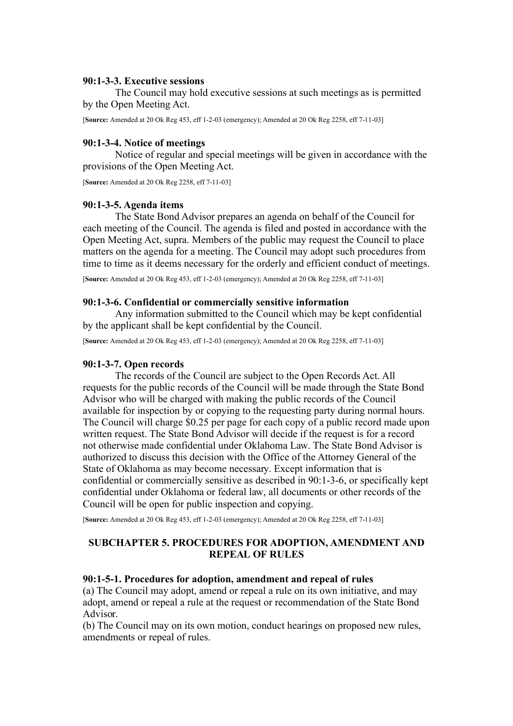## **90:1-3-3. Executive sessions**

The Council may hold executive sessions at such meetings as is permitted by the Open Meeting Act.

[**Source:** Amended at 20 Ok Reg 453, eff 1-2-03 (emergency); Amended at 20 Ok Reg 2258, eff 7-11-03]

## **90:1-3-4. Notice of meetings**

Notice of regular and special meetings will be given in accordance with the provisions of the Open Meeting Act.

[**Source:** Amended at 20 Ok Reg 2258, eff 7-11-03]

### **90:1-3-5. Agenda items**

The State Bond Advisor prepares an agenda on behalf of the Council for each meeting of the Council. The agenda is filed and posted in accordance with the Open Meeting Act, supra. Members of the public may request the Council to place matters on the agenda for a meeting. The Council may adopt such procedures from time to time as it deems necessary for the orderly and efficient conduct of meetings.

[**Source:** Amended at 20 Ok Reg 453, eff 1-2-03 (emergency); Amended at 20 Ok Reg 2258, eff 7-11-03]

### **90:1-3-6. Confidential or commercially sensitive information**

Any information submitted to the Council which may be kept confidential by the applicant shall be kept confidential by the Council.

[**Source:** Amended at 20 Ok Reg 453, eff 1-2-03 (emergency); Amended at 20 Ok Reg 2258, eff 7-11-03]

### **90:1-3-7. Open records**

The records of the Council are subject to the Open Records Act. All requests for the public records of the Council will be made through the State Bond Advisor who will be charged with making the public records of the Council available for inspection by or copying to the requesting party during normal hours. The Council will charge \$0.25 per page for each copy of a public record made upon written request. The State Bond Advisor will decide if the request is for a record not otherwise made confidential under Oklahoma Law. The State Bond Advisor is authorized to discuss this decision with the Office of the Attorney General of the State of Oklahoma as may become necessary. Except information that is confidential or commercially sensitive as described in 90:1-3-6, or specifically kept confidential under Oklahoma or federal law, all documents or other records of the Council will be open for public inspection and copying.

[**Source:** Amended at 20 Ok Reg 453, eff 1-2-03 (emergency); Amended at 20 Ok Reg 2258, eff 7-11-03]

# **SUBCHAPTER 5. PROCEDURES FOR ADOPTION, AMENDMENT AND REPEAL OF RULES**

#### **90:1-5-1. Procedures for adoption, amendment and repeal of rules**

(a) The Council may adopt, amend or repeal a rule on its own initiative, and may adopt, amend or repeal a rule at the request or recommendation of the State Bond Advisor.

(b) The Council may on its own motion, conduct hearings on proposed new rules, amendments or repeal of rules.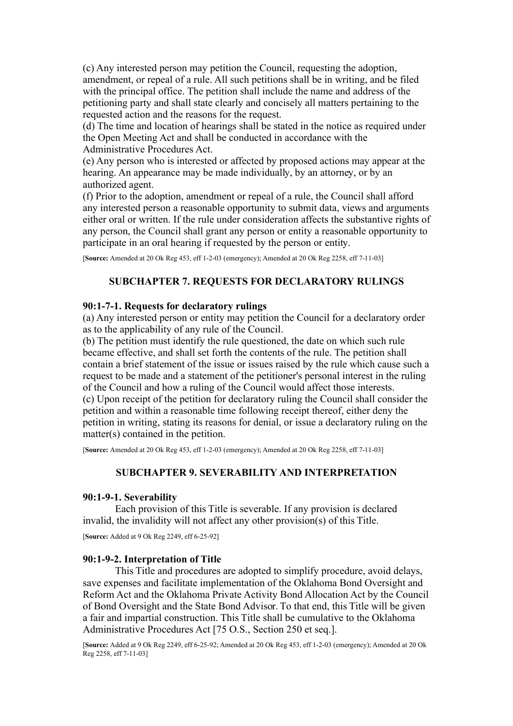(c) Any interested person may petition the Council, requesting the adoption, amendment, or repeal of a rule. All such petitions shall be in writing, and be filed with the principal office. The petition shall include the name and address of the petitioning party and shall state clearly and concisely all matters pertaining to the requested action and the reasons for the request.

(d) The time and location of hearings shall be stated in the notice as required under the Open Meeting Act and shall be conducted in accordance with the Administrative Procedures Act.

(e) Any person who is interested or affected by proposed actions may appear at the hearing. An appearance may be made individually, by an attorney, or by an authorized agent.

(f) Prior to the adoption, amendment or repeal of a rule, the Council shall afford any interested person a reasonable opportunity to submit data, views and arguments either oral or written. If the rule under consideration affects the substantive rights of any person, the Council shall grant any person or entity a reasonable opportunity to participate in an oral hearing if requested by the person or entity.

[**Source:** Amended at 20 Ok Reg 453, eff 1-2-03 (emergency); Amended at 20 Ok Reg 2258, eff 7-11-03]

# **SUBCHAPTER 7. REQUESTS FOR DECLARATORY RULINGS**

## **90:1-7-1. Requests for declaratory rulings**

(a) Any interested person or entity may petition the Council for a declaratory order as to the applicability of any rule of the Council.

(b) The petition must identify the rule questioned, the date on which such rule became effective, and shall set forth the contents of the rule. The petition shall contain a brief statement of the issue or issues raised by the rule which cause such a request to be made and a statement of the petitioner's personal interest in the ruling of the Council and how a ruling of the Council would affect those interests. (c) Upon receipt of the petition for declaratory ruling the Council shall consider the petition and within a reasonable time following receipt thereof, either deny the petition in writing, stating its reasons for denial, or issue a declaratory ruling on the matter(s) contained in the petition.

[**Source:** Amended at 20 Ok Reg 453, eff 1-2-03 (emergency); Amended at 20 Ok Reg 2258, eff 7-11-03]

### **SUBCHAPTER 9. SEVERABILITY AND INTERPRETATION**

### **90:1-9-1. Severability**

Each provision of this Title is severable. If any provision is declared invalid, the invalidity will not affect any other provision(s) of this Title.

[**Source:** Added at 9 Ok Reg 2249, eff 6-25-92]

### **90:1-9-2. Interpretation of Title**

This Title and procedures are adopted to simplify procedure, avoid delays, save expenses and facilitate implementation of the Oklahoma Bond Oversight and Reform Act and the Oklahoma Private Activity Bond Allocation Act by the Council of Bond Oversight and the State Bond Advisor. To that end, this Title will be given a fair and impartial construction. This Title shall be cumulative to the Oklahoma Administrative Procedures Act [75 O.S., Section 250 et seq.].

[**Source:** Added at 9 Ok Reg 2249, eff 6-25-92; Amended at 20 Ok Reg 453, eff 1-2-03 (emergency); Amended at 20 Ok Reg 2258, eff 7-11-03]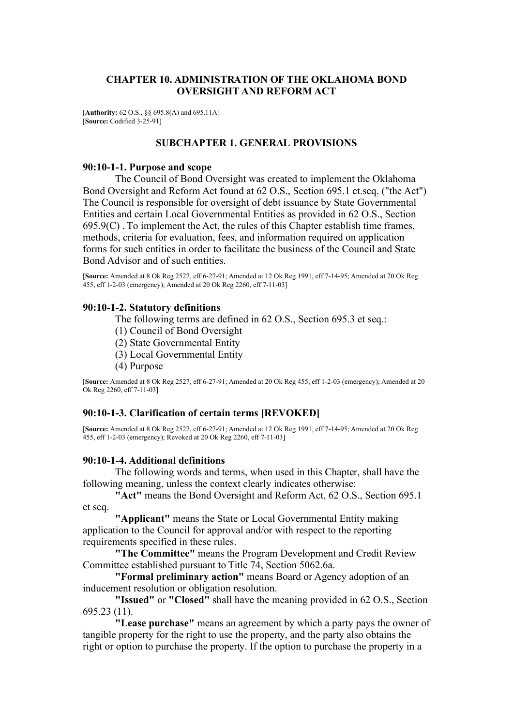# **CHAPTER 10. ADMINISTRATION OF THE OKLAHOMA BOND OVERSIGHT AND REFORM ACT**

[**Authority:** 62 O.S., §§ 695.8(A) and 695.11A] [**Source:** Codified 3-25-91]

## **SUBCHAPTER 1. GENERAL PROVISIONS**

### **90:10-1-1. Purpose and scope**

The Council of Bond Oversight was created to implement the Oklahoma Bond Oversight and Reform Act found at 62 O.S., Section 695.1 et.seq. ("the Act") The Council is responsible for oversight of debt issuance by State Governmental Entities and certain Local Governmental Entities as provided in 62 O.S., Section  $695.9(C)$ . To implement the Act, the rules of this Chapter establish time frames, methods, criteria for evaluation, fees, and information required on application forms for such entities in order to facilitate the business of the Council and State Bond Advisor and of such entities.

[**Source:** Amended at 8 Ok Reg 2527, eff 6-27-91; Amended at 12 Ok Reg 1991, eff 7-14-95; Amended at 20 Ok Reg 455, eff 1-2-03 (emergency); Amended at 20 Ok Reg 2260, eff 7-11-03]

### **90:10-1-2. Statutory definitions**

The following terms are defined in 62 O.S., Section 695.3 et seq.:

- (1) Council of Bond Oversight
- (2) State Governmental Entity
- (3) Local Governmental Entity
- (4) Purpose

[**Source:** Amended at 8 Ok Reg 2527, eff 6-27-91; Amended at 20 Ok Reg 455, eff 1-2-03 (emergency); Amended at 20 Ok Reg 2260, eff 7-11-03]

# **90:10-1-3. Clarification of certain terms [REVOKED]**

[**Source:** Amended at 8 Ok Reg 2527, eff 6-27-91; Amended at 12 Ok Reg 1991, eff 7-14-95; Amended at 20 Ok Reg 455, eff 1-2-03 (emergency); Revoked at 20 Ok Reg 2260, eff 7-11-03]

### **90:10-1-4. Additional definitions**

The following words and terms, when used in this Chapter, shall have the following meaning, unless the context clearly indicates otherwise:

**"Act"** means the Bond Oversight and Reform Act, 62 O.S., Section 695.1 et seq.

**"Applicant"** means the State or Local Governmental Entity making application to the Council for approval and/or with respect to the reporting requirements specified in these rules.

**"The Committee"** means the Program Development and Credit Review Committee established pursuant to Title 74, Section 5062.6a.

**"Formal preliminary action"** means Board or Agency adoption of an inducement resolution or obligation resolution.

**"Issued"** or **"Closed"** shall have the meaning provided in 62 O.S., Section 695.23 (11).

**"Lease purchase"** means an agreement by which a party pays the owner of tangible property for the right to use the property, and the party also obtains the right or option to purchase the property. If the option to purchase the property in a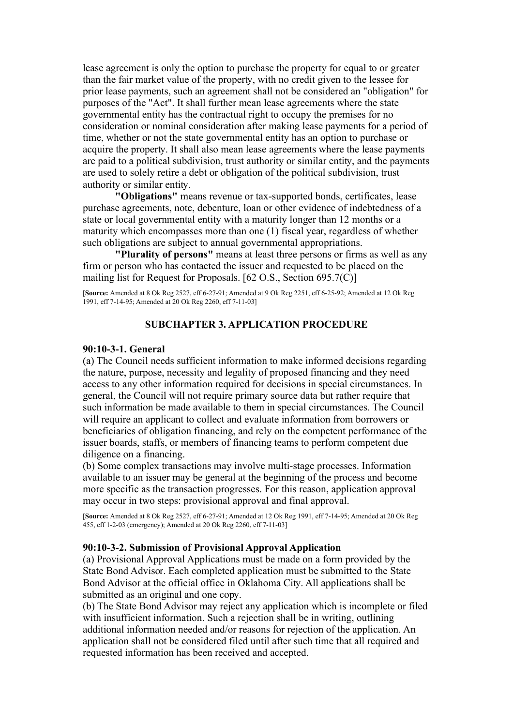lease agreement is only the option to purchase the property for equal to or greater than the fair market value of the property, with no credit given to the lessee for prior lease payments, such an agreement shall not be considered an "obligation" for purposes of the "Act". It shall further mean lease agreements where the state governmental entity has the contractual right to occupy the premises for no consideration or nominal consideration after making lease payments for a period of time, whether or not the state governmental entity has an option to purchase or acquire the property. It shall also mean lease agreements where the lease payments are paid to a political subdivision, trust authority or similar entity, and the payments are used to solely retire a debt or obligation of the political subdivision, trust authority or similar entity.

**"Obligations"** means revenue or tax-supported bonds, certificates, lease purchase agreements, note, debenture, loan or other evidence of indebtedness of a state or local governmental entity with a maturity longer than 12 months or a maturity which encompasses more than one (1) fiscal year, regardless of whether such obligations are subject to annual governmental appropriations.

**"Plurality of persons"** means at least three persons or firms as well as any firm or person who has contacted the issuer and requested to be placed on the mailing list for Request for Proposals. [62 O.S., Section 695.7(C)]

[**Source:** Amended at 8 Ok Reg 2527, eff 6-27-91; Amended at 9 Ok Reg 2251, eff 6-25-92; Amended at 12 Ok Reg 1991, eff 7-14-95; Amended at 20 Ok Reg 2260, eff 7-11-03]

# **SUBCHAPTER 3. APPLICATION PROCEDURE**

#### **90:10-3-1. General**

(a) The Council needs sufficient information to make informed decisions regarding the nature, purpose, necessity and legality of proposed financing and they need access to any other information required for decisions in special circumstances. In general, the Council will not require primary source data but rather require that such information be made available to them in special circumstances. The Council will require an applicant to collect and evaluate information from borrowers or beneficiaries of obligation financing, and rely on the competent performance of the issuer boards, staffs, or members of financing teams to perform competent due diligence on a financing.

(b) Some complex transactions may involve multi-stage processes. Information available to an issuer may be general at the beginning of the process and become more specific as the transaction progresses. For this reason, application approval may occur in two steps: provisional approval and final approval.

[**Source:** Amended at 8 Ok Reg 2527, eff 6-27-91; Amended at 12 Ok Reg 1991, eff 7-14-95; Amended at 20 Ok Reg 455, eff 1-2-03 (emergency); Amended at 20 Ok Reg 2260, eff 7-11-03]

### **90:10-3-2. Submission of Provisional Approval Application**

(a) Provisional Approval Applications must be made on a form provided by the State Bond Advisor. Each completed application must be submitted to the State Bond Advisor at the official office in Oklahoma City. All applications shall be submitted as an original and one copy.

(b) The State Bond Advisor may reject any application which is incomplete or filed with insufficient information. Such a rejection shall be in writing, outlining additional information needed and/or reasons for rejection of the application. An application shall not be considered filed until after such time that all required and requested information has been received and accepted.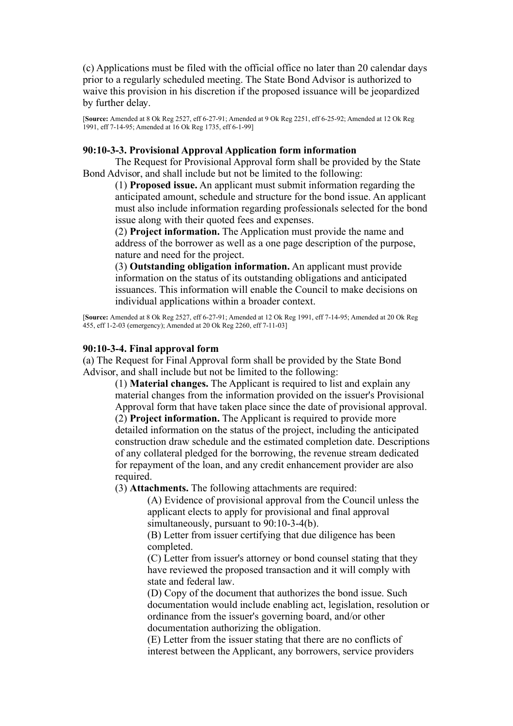(c) Applications must be filed with the official office no later than 20 calendar days prior to a regularly scheduled meeting. The State Bond Advisor is authorized to waive this provision in his discretion if the proposed issuance will be jeopardized by further delay.

[**Source:** Amended at 8 Ok Reg 2527, eff 6-27-91; Amended at 9 Ok Reg 2251, eff 6-25-92; Amended at 12 Ok Reg 1991, eff 7-14-95; Amended at 16 Ok Reg 1735, eff 6-1-99]

## **90:10-3-3. Provisional Approval Application form information**

The Request for Provisional Approval form shall be provided by the State Bond Advisor, and shall include but not be limited to the following:

(1) **Proposed issue.** An applicant must submit information regarding the anticipated amount, schedule and structure for the bond issue. An applicant must also include information regarding professionals selected for the bond issue along with their quoted fees and expenses.

(2) **Project information.** The Application must provide the name and address of the borrower as well as a one page description of the purpose, nature and need for the project.

(3) **Outstanding obligation information.** An applicant must provide information on the status of its outstanding obligations and anticipated issuances. This information will enable the Council to make decisions on individual applications within a broader context.

[**Source:** Amended at 8 Ok Reg 2527, eff 6-27-91; Amended at 12 Ok Reg 1991, eff 7-14-95; Amended at 20 Ok Reg 455, eff 1-2-03 (emergency); Amended at 20 Ok Reg 2260, eff 7-11-03]

### **90:10-3-4. Final approval form**

(a) The Request for Final Approval form shall be provided by the State Bond Advisor, and shall include but not be limited to the following:

> (1) **Material changes.** The Applicant is required to list and explain any material changes from the information provided on the issuer's Provisional Approval form that have taken place since the date of provisional approval. (2) **Project information.** The Applicant is required to provide more detailed information on the status of the project, including the anticipated construction draw schedule and the estimated completion date. Descriptions of any collateral pledged for the borrowing, the revenue stream dedicated for repayment of the loan, and any credit enhancement provider are also required.

(3) **Attachments.** The following attachments are required:

(A) Evidence of provisional approval from the Council unless the applicant elects to apply for provisional and final approval simultaneously, pursuant to 90:10-3-4(b).

(B) Letter from issuer certifying that due diligence has been completed.

(C) Letter from issuer's attorney or bond counsel stating that they have reviewed the proposed transaction and it will comply with state and federal law.

(D) Copy of the document that authorizes the bond issue. Such documentation would include enabling act, legislation, resolution or ordinance from the issuer's governing board, and/or other documentation authorizing the obligation.

(E) Letter from the issuer stating that there are no conflicts of interest between the Applicant, any borrowers, service providers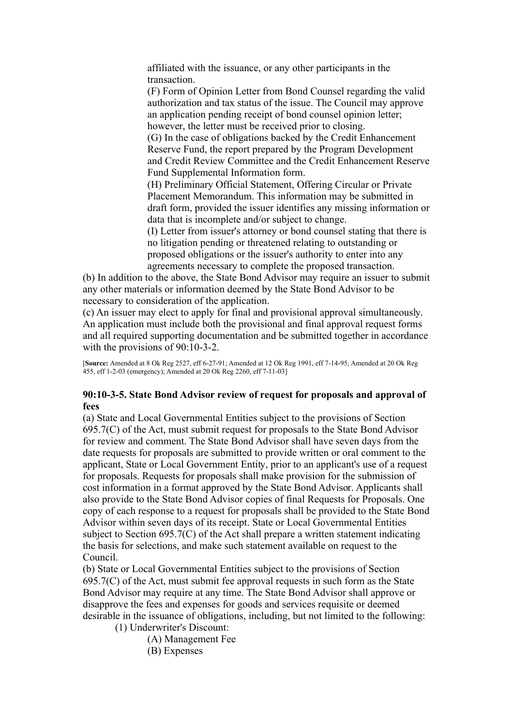affiliated with the issuance, or any other participants in the transaction.

(F) Form of Opinion Letter from Bond Counsel regarding the valid authorization and tax status of the issue. The Council may approve an application pending receipt of bond counsel opinion letter; however, the letter must be received prior to closing.

(G) In the case of obligations backed by the Credit Enhancement Reserve Fund, the report prepared by the Program Development and Credit Review Committee and the Credit Enhancement Reserve Fund Supplemental Information form.

(H) Preliminary Official Statement, Offering Circular or Private Placement Memorandum. This information may be submitted in draft form, provided the issuer identifies any missing information or data that is incomplete and/or subject to change.

(I) Letter from issuer's attorney or bond counsel stating that there is no litigation pending or threatened relating to outstanding or proposed obligations or the issuer's authority to enter into any agreements necessary to complete the proposed transaction.

(b) In addition to the above, the State Bond Advisor may require an issuer to submit any other materials or information deemed by the State Bond Advisor to be necessary to consideration of the application.

(c) An issuer may elect to apply for final and provisional approval simultaneously. An application must include both the provisional and final approval request forms and all required supporting documentation and be submitted together in accordance with the provisions of 90:10-3-2.

[**Source:** Amended at 8 Ok Reg 2527, eff 6-27-91; Amended at 12 Ok Reg 1991, eff 7-14-95; Amended at 20 Ok Reg 455, eff 1-2-03 (emergency); Amended at 20 Ok Reg 2260, eff 7-11-03]

# **90:10-3-5. State Bond Advisor review of request for proposals and approval of fees**

(a) State and Local Governmental Entities subject to the provisions of Section 695.7(C) of the Act, must submit request for proposals to the State Bond Advisor for review and comment. The State Bond Advisor shall have seven days from the date requests for proposals are submitted to provide written or oral comment to the applicant, State or Local Government Entity, prior to an applicant's use of a request for proposals. Requests for proposals shall make provision for the submission of cost information in a format approved by the State Bond Advisor. Applicants shall also provide to the State Bond Advisor copies of final Requests for Proposals. One copy of each response to a request for proposals shall be provided to the State Bond Advisor within seven days of its receipt. State or Local Governmental Entities subject to Section 695.7(C) of the Act shall prepare a written statement indicating the basis for selections, and make such statement available on request to the Council.

(b) State or Local Governmental Entities subject to the provisions of Section 695.7(C) of the Act, must submit fee approval requests in such form as the State Bond Advisor may require at any time. The State Bond Advisor shall approve or disapprove the fees and expenses for goods and services requisite or deemed desirable in the issuance of obligations, including, but not limited to the following:

(1) Underwriter's Discount:

(A) Management Fee

(B) Expenses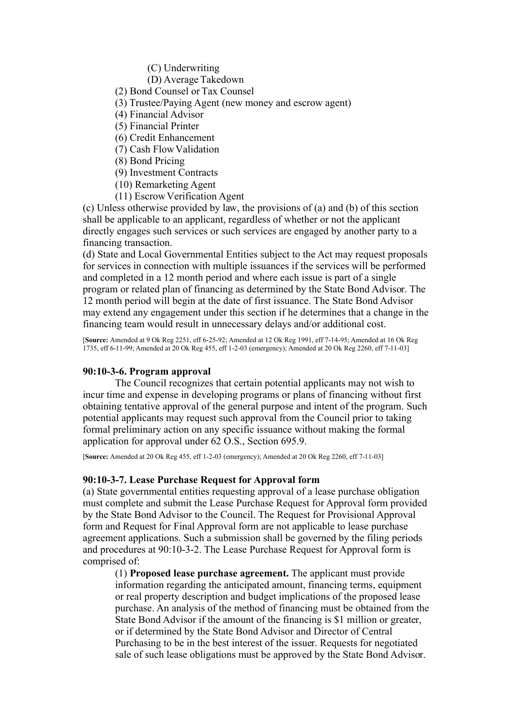(C) Underwriting

(D) Average Takedown

(2) Bond Counsel or Tax Counsel

(3) Trustee/Paying Agent (new money and escrow agent)

(4) Financial Advisor

(5) Financial Printer

(6) Credit Enhancement

(7) Cash Flow Validation

(8) Bond Pricing

(9) Investment Contracts

(10) Remarketing Agent

(11) Escrow Verification Agent

(c) Unless otherwise provided by law, the provisions of (a) and (b) of this section shall be applicable to an applicant, regardless of whether or not the applicant directly engages such services or such services are engaged by another party to a financing transaction.

(d) State and Local Governmental Entities subject to the Act may request proposals for services in connection with multiple issuances if the services will be performed and completed in a 12 month period and where each issue is part of a single program or related plan of financing as determined by the State Bond Advisor. The 12 month period will begin at the date of first issuance. The State Bond Advisor may extend any engagement under this section if he determines that a change in the financing team would result in unnecessary delays and/or additional cost.

[**Source:** Amended at 9 Ok Reg 2251, eff 6-25-92; Amended at 12 Ok Reg 1991, eff 7-14-95; Amended at 16 Ok Reg 1735, eff 6-11-99; Amended at 20 Ok Reg 455, eff 1-2-03 (emergency); Amended at 20 Ok Reg 2260, eff 7-11-03]

# **90:10-3-6. Program approval**

The Council recognizes that certain potential applicants may not wish to incur time and expense in developing programs or plans of financing without first obtaining tentative approval of the general purpose and intent of the program. Such potential applicants may request such approval from the Council prior to taking formal preliminary action on any specific issuance without making the formal application for approval under 62 O.S., Section 695.9.

[**Source:** Amended at 20 Ok Reg 455, eff 1-2-03 (emergency); Amended at 20 Ok Reg 2260, eff 7-11-03]

### **90:10-3-7. Lease Purchase Request for Approval form**

(a) State governmental entities requesting approval of a lease purchase obligation must complete and submit the Lease Purchase Request for Approval form provided by the State Bond Advisor to the Council. The Request for Provisional Approval form and Request for Final Approval form are not applicable to lease purchase agreement applications. Such a submission shall be governed by the filing periods and procedures at 90:10-3-2. The Lease Purchase Request for Approval form is comprised of:

(1) **Proposed lease purchase agreement.** The applicant must provide information regarding the anticipated amount, financing terms, equipment or real property description and budget implications of the proposed lease purchase. An analysis of the method of financing must be obtained from the State Bond Advisor if the amount of the financing is \$1 million or greater, or if determined by the State Bond Advisor and Director of Central Purchasing to be in the best interest of the issuer. Requests for negotiated sale of such lease obligations must be approved by the State Bond Advisor.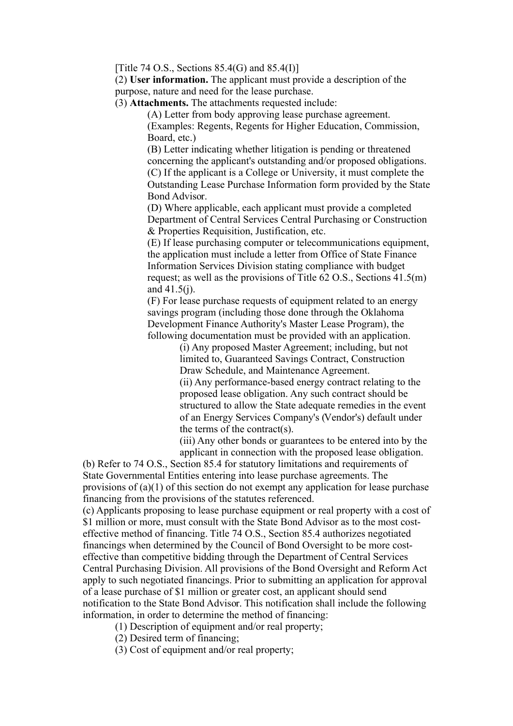[Title 74 O.S., Sections  $85.4$ (G) and  $85.4$ (I)]

(2) **User information.** The applicant must provide a description of the purpose, nature and need for the lease purchase.

(3) **Attachments.** The attachments requested include:

(A) Letter from body approving lease purchase agreement. (Examples: Regents, Regents for Higher Education, Commission, Board, etc.)

(B) Letter indicating whether litigation is pending or threatened concerning the applicant's outstanding and/or proposed obligations. (C) If the applicant is a College or University, it must complete the Outstanding Lease Purchase Information form provided by the State Bond Advisor.

(D) Where applicable, each applicant must provide a completed Department of Central Services Central Purchasing or Construction & Properties Requisition, Justification, etc.

(E) If lease purchasing computer or telecommunications equipment, the application must include a letter from Office of State Finance Information Services Division stating compliance with budget request; as well as the provisions of Title 62 O.S., Sections 41.5(m) and  $41.5(i)$ .

(F) For lease purchase requests of equipment related to an energy savings program (including those done through the Oklahoma Development Finance Authority's Master Lease Program), the following documentation must be provided with an application.

> (i) Any proposed Master Agreement; including, but not limited to, Guaranteed Savings Contract, Construction Draw Schedule, and Maintenance Agreement.

(ii) Any performance-based energy contract relating to the proposed lease obligation. Any such contract should be structured to allow the State adequate remedies in the event of an Energy Services Company's (Vendor's) default under the terms of the contract(s).

(iii) Any other bonds or guarantees to be entered into by the applicant in connection with the proposed lease obligation.

(b) Refer to 74 O.S., Section 85.4 for statutory limitations and requirements of State Governmental Entities entering into lease purchase agreements. The provisions of (a)(1) of this section do not exempt any application for lease purchase financing from the provisions of the statutes referenced.

(c) Applicants proposing to lease purchase equipment or real property with a cost of \$1 million or more, must consult with the State Bond Advisor as to the most costeffective method of financing. Title 74 O.S., Section 85.4 authorizes negotiated financings when determined by the Council of Bond Oversight to be more costeffective than competitive bidding through the Department of Central Services Central Purchasing Division. All provisions of the Bond Oversight and Reform Act apply to such negotiated financings. Prior to submitting an application for approval of a lease purchase of \$1 million or greater cost, an applicant should send notification to the State Bond Advisor. This notification shall include the following information, in order to determine the method of financing:

(1) Description of equipment and/or real property;

(2) Desired term of financing;

(3) Cost of equipment and/or real property;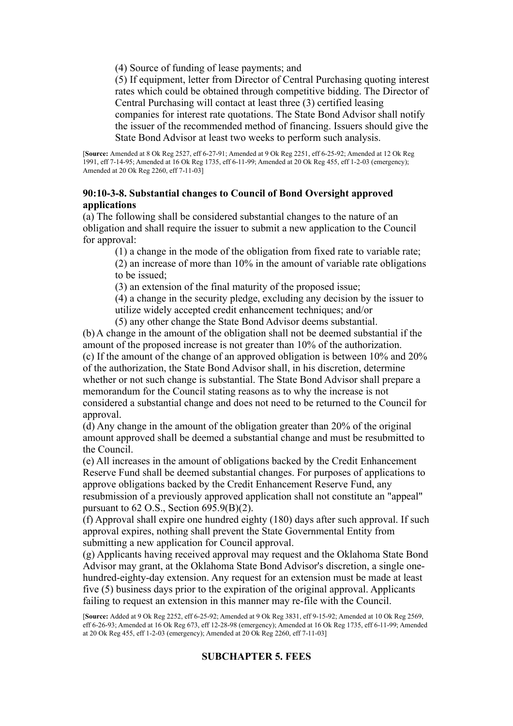(4) Source of funding of lease payments; and

(5) If equipment, letter from Director of Central Purchasing quoting interest rates which could be obtained through competitive bidding. The Director of Central Purchasing will contact at least three (3) certified leasing companies for interest rate quotations. The State Bond Advisor shall notify the issuer of the recommended method of financing. Issuers should give the State Bond Advisor at least two weeks to perform such analysis.

[**Source:** Amended at 8 Ok Reg 2527, eff 6-27-91; Amended at 9 Ok Reg 2251, eff 6-25-92; Amended at 12 Ok Reg 1991, eff 7-14-95; Amended at 16 Ok Reg 1735, eff 6-11-99; Amended at 20 Ok Reg 455, eff 1-2-03 (emergency); Amended at 20 Ok Reg 2260, eff 7-11-03]

# **90:10-3-8. Substantial changes to Council of Bond Oversight approved applications**

(a) The following shall be considered substantial changes to the nature of an obligation and shall require the issuer to submit a new application to the Council for approval:

(1) a change in the mode of the obligation from fixed rate to variable rate;

(2) an increase of more than 10% in the amount of variable rate obligations to be issued;

(3) an extension of the final maturity of the proposed issue;

(4) a change in the security pledge, excluding any decision by the issuer to utilize widely accepted credit enhancement techniques; and/or

(5) any other change the State Bond Advisor deems substantial.

(b) A change in the amount of the obligation shall not be deemed substantial if the amount of the proposed increase is not greater than 10% of the authorization. (c) If the amount of the change of an approved obligation is between 10% and 20% of the authorization, the State Bond Advisor shall, in his discretion, determine whether or not such change is substantial. The State Bond Advisor shall prepare a memorandum for the Council stating reasons as to why the increase is not considered a substantial change and does not need to be returned to the Council for approval.

(d) Any change in the amount of the obligation greater than 20% of the original amount approved shall be deemed a substantial change and must be resubmitted to the Council.

(e) All increases in the amount of obligations backed by the Credit Enhancement Reserve Fund shall be deemed substantial changes. For purposes of applications to approve obligations backed by the Credit Enhancement Reserve Fund, any resubmission of a previously approved application shall not constitute an "appeal" pursuant to 62 O.S., Section 695.9(B)(2).

(f) Approval shall expire one hundred eighty (180) days after such approval. If such approval expires, nothing shall prevent the State Governmental Entity from submitting a new application for Council approval.

(g) Applicants having received approval may request and the Oklahoma State Bond Advisor may grant, at the Oklahoma State Bond Advisor's discretion, a single onehundred-eighty-day extension. Any request for an extension must be made at least five (5) business days prior to the expiration of the original approval. Applicants failing to request an extension in this manner may re-file with the Council.

# **SUBCHAPTER 5. FEES**

<sup>[</sup>**Source:** Added at 9 Ok Reg 2252, eff 6-25-92; Amended at 9 Ok Reg 3831, eff 9-15-92; Amended at 10 Ok Reg 2569, eff 6-26-93; Amended at 16 Ok Reg 673, eff 12-28-98 (emergency); Amended at 16 Ok Reg 1735, eff 6-11-99; Amended at 20 Ok Reg 455, eff 1-2-03 (emergency); Amended at 20 Ok Reg 2260, eff 7-11-03]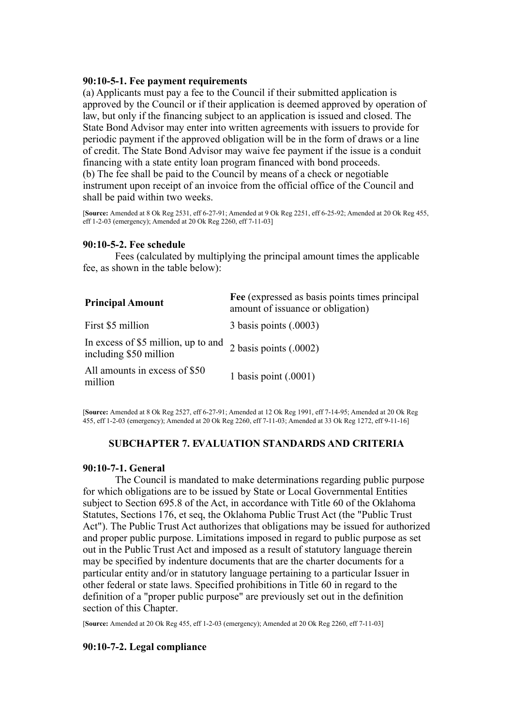## **90:10-5-1. Fee payment requirements**

(a) Applicants must pay a fee to the Council if their submitted application is approved by the Council or if their application is deemed approved by operation of law, but only if the financing subject to an application is issued and closed. The State Bond Advisor may enter into written agreements with issuers to provide for periodic payment if the approved obligation will be in the form of draws or a line of credit. The State Bond Advisor may waive fee payment if the issue is a conduit financing with a state entity loan program financed with bond proceeds. (b) The fee shall be paid to the Council by means of a check or negotiable instrument upon receipt of an invoice from the official office of the Council and shall be paid within two weeks.

[**Source:** Amended at 8 Ok Reg 2531, eff 6-27-91; Amended at 9 Ok Reg 2251, eff 6-25-92; Amended at 20 Ok Reg 455, eff 1-2-03 (emergency); Amended at 20 Ok Reg 2260, eff 7-11-03]

## **90:10-5-2. Fee schedule**

Fees (calculated by multiplying the principal amount times the applicable fee, as shown in the table below):

| <b>Principal Amount</b>                                       | Fee (expressed as basis points times principal)<br>amount of issuance or obligation) |
|---------------------------------------------------------------|--------------------------------------------------------------------------------------|
| First \$5 million                                             | 3 basis points (.0003)                                                               |
| In excess of \$5 million, up to and<br>including \$50 million | 2 basis points $(.0002)$                                                             |
| All amounts in excess of \$50<br>million                      | 1 basis point $(.0001)$                                                              |

[**Source:** Amended at 8 Ok Reg 2527, eff 6-27-91; Amended at 12 Ok Reg 1991, eff 7-14-95; Amended at 20 Ok Reg 455, eff 1-2-03 (emergency); Amended at 20 Ok Reg 2260, eff 7-11-03; Amended at 33 Ok Reg 1272, eff 9-11-16]

### **SUBCHAPTER 7. EVALUATION STANDARDS AND CRITERIA**

## **90:10-7-1. General**

The Council is mandated to make determinations regarding public purpose for which obligations are to be issued by State or Local Governmental Entities subject to Section 695.8 of the Act, in accordance with Title 60 of the Oklahoma Statutes, Sections 176, et seq, the Oklahoma Public Trust Act (the "Public Trust Act"). The Public Trust Act authorizes that obligations may be issued for authorized and proper public purpose. Limitations imposed in regard to public purpose as set out in the Public Trust Act and imposed as a result of statutory language therein may be specified by indenture documents that are the charter documents for a particular entity and/or in statutory language pertaining to a particular Issuer in other federal or state laws. Specified prohibitions in Title 60 in regard to the definition of a "proper public purpose" are previously set out in the definition section of this Chapter.

[**Source:** Amended at 20 Ok Reg 455, eff 1-2-03 (emergency); Amended at 20 Ok Reg 2260, eff 7-11-03]

### **90:10-7-2. Legal compliance**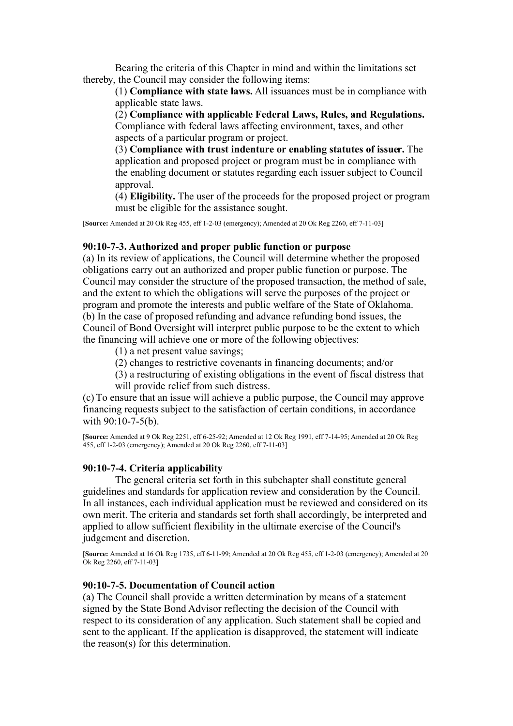Bearing the criteria of this Chapter in mind and within the limitations set thereby, the Council may consider the following items:

(1) **Compliance with state laws.** All issuances must be in compliance with applicable state laws.

(2) **Compliance with applicable Federal Laws, Rules, and Regulations.** Compliance with federal laws affecting environment, taxes, and other aspects of a particular program or project.

(3) **Compliance with trust indenture or enabling statutes of issuer.** The application and proposed project or program must be in compliance with the enabling document or statutes regarding each issuer subject to Council approval.

(4) **Eligibility.** The user of the proceeds for the proposed project or program must be eligible for the assistance sought.

[**Source:** Amended at 20 Ok Reg 455, eff 1-2-03 (emergency); Amended at 20 Ok Reg 2260, eff 7-11-03]

### **90:10-7-3. Authorized and proper public function or purpose**

(a) In its review of applications, the Council will determine whether the proposed obligations carry out an authorized and proper public function or purpose. The Council may consider the structure of the proposed transaction, the method of sale, and the extent to which the obligations will serve the purposes of the project or program and promote the interests and public welfare of the State of Oklahoma. (b) In the case of proposed refunding and advance refunding bond issues, the Council of Bond Oversight will interpret public purpose to be the extent to which the financing will achieve one or more of the following objectives:

(1) a net present value savings;

(2) changes to restrictive covenants in financing documents; and/or

(3) a restructuring of existing obligations in the event of fiscal distress that will provide relief from such distress.

(c) To ensure that an issue will achieve a public purpose, the Council may approve financing requests subject to the satisfaction of certain conditions, in accordance with 90:10-7-5(b).

[**Source:** Amended at 9 Ok Reg 2251, eff 6-25-92; Amended at 12 Ok Reg 1991, eff 7-14-95; Amended at 20 Ok Reg 455, eff 1-2-03 (emergency); Amended at 20 Ok Reg 2260, eff 7-11-03]

### **90:10-7-4. Criteria applicability**

The general criteria set forth in this subchapter shall constitute general guidelines and standards for application review and consideration by the Council. In all instances, each individual application must be reviewed and considered on its own merit. The criteria and standards set forth shall accordingly, be interpreted and applied to allow sufficient flexibility in the ultimate exercise of the Council's judgement and discretion.

[**Source:** Amended at 16 Ok Reg 1735, eff 6-11-99; Amended at 20 Ok Reg 455, eff 1-2-03 (emergency); Amended at 20 Ok Reg 2260, eff 7-11-03]

### **90:10-7-5. Documentation of Council action**

(a) The Council shall provide a written determination by means of a statement signed by the State Bond Advisor reflecting the decision of the Council with respect to its consideration of any application. Such statement shall be copied and sent to the applicant. If the application is disapproved, the statement will indicate the reason(s) for this determination.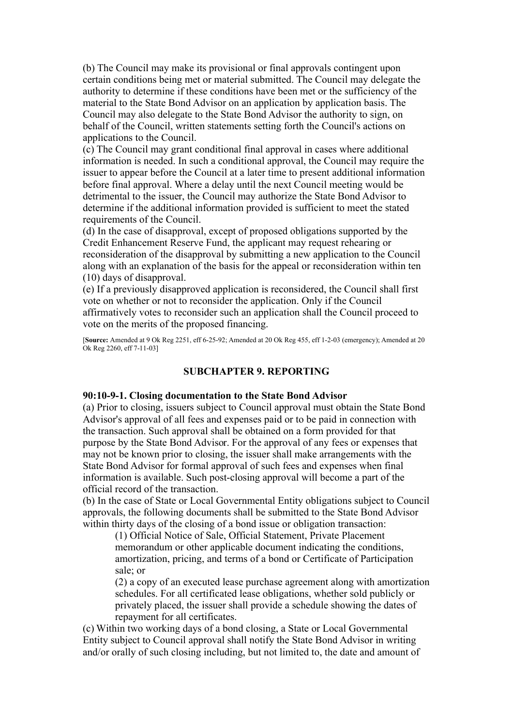(b) The Council may make its provisional or final approvals contingent upon certain conditions being met or material submitted. The Council may delegate the authority to determine if these conditions have been met or the sufficiency of the material to the State Bond Advisor on an application by application basis. The Council may also delegate to the State Bond Advisor the authority to sign, on behalf of the Council, written statements setting forth the Council's actions on applications to the Council.

(c) The Council may grant conditional final approval in cases where additional information is needed. In such a conditional approval, the Council may require the issuer to appear before the Council at a later time to present additional information before final approval. Where a delay until the next Council meeting would be detrimental to the issuer, the Council may authorize the State Bond Advisor to determine if the additional information provided is sufficient to meet the stated requirements of the Council.

(d) In the case of disapproval, except of proposed obligations supported by the Credit Enhancement Reserve Fund, the applicant may request rehearing or reconsideration of the disapproval by submitting a new application to the Council along with an explanation of the basis for the appeal or reconsideration within ten (10) days of disapproval.

(e) If a previously disapproved application is reconsidered, the Council shall first vote on whether or not to reconsider the application. Only if the Council affirmatively votes to reconsider such an application shall the Council proceed to vote on the merits of the proposed financing.

[**Source:** Amended at 9 Ok Reg 2251, eff 6-25-92; Amended at 20 Ok Reg 455, eff 1-2-03 (emergency); Amended at 20 Ok Reg 2260, eff 7-11-03]

## **SUBCHAPTER 9. REPORTING**

### **90:10-9-1. Closing documentation to the State Bond Advisor**

(a) Prior to closing, issuers subject to Council approval must obtain the State Bond Advisor's approval of all fees and expenses paid or to be paid in connection with the transaction. Such approval shall be obtained on a form provided for that purpose by the State Bond Advisor. For the approval of any fees or expenses that may not be known prior to closing, the issuer shall make arrangements with the State Bond Advisor for formal approval of such fees and expenses when final information is available. Such post-closing approval will become a part of the official record of the transaction.

(b) In the case of State or Local Governmental Entity obligations subject to Council approvals, the following documents shall be submitted to the State Bond Advisor within thirty days of the closing of a bond issue or obligation transaction:

(1) Official Notice of Sale, Official Statement, Private Placement memorandum or other applicable document indicating the conditions, amortization, pricing, and terms of a bond or Certificate of Participation sale; or

(2) a copy of an executed lease purchase agreement along with amortization schedules. For all certificated lease obligations, whether sold publicly or privately placed, the issuer shall provide a schedule showing the dates of repayment for all certificates.

(c) Within two working days of a bond closing, a State or Local Governmental Entity subject to Council approval shall notify the State Bond Advisor in writing and/or orally of such closing including, but not limited to, the date and amount of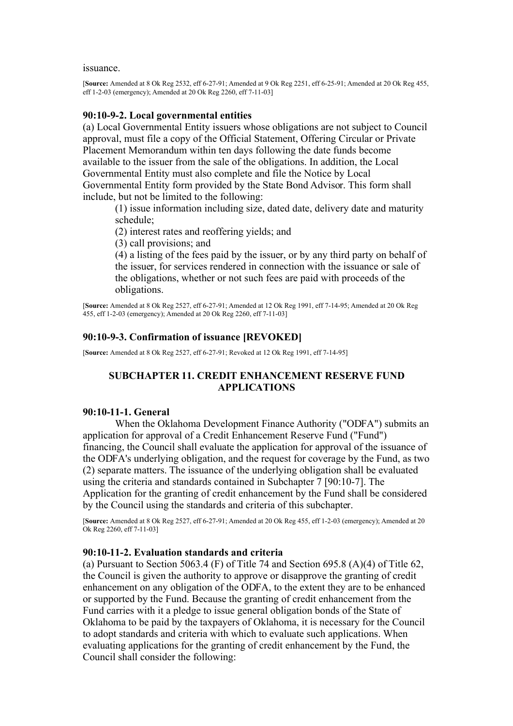issuance.

[**Source:** Amended at 8 Ok Reg 2532, eff 6-27-91; Amended at 9 Ok Reg 2251, eff 6-25-91; Amended at 20 Ok Reg 455, eff 1-2-03 (emergency); Amended at 20 Ok Reg 2260, eff 7-11-03]

#### **90:10-9-2. Local governmental entities**

(a) Local Governmental Entity issuers whose obligations are not subject to Council approval, must file a copy of the Official Statement, Offering Circular or Private Placement Memorandum within ten days following the date funds become available to the issuer from the sale of the obligations. In addition, the Local Governmental Entity must also complete and file the Notice by Local Governmental Entity form provided by the State Bond Advisor. This form shall include, but not be limited to the following:

(1) issue information including size, dated date, delivery date and maturity schedule;

(2) interest rates and reoffering yields; and

(3) call provisions; and

(4) a listing of the fees paid by the issuer, or by any third party on behalf of the issuer, for services rendered in connection with the issuance or sale of the obligations, whether or not such fees are paid with proceeds of the obligations.

[**Source:** Amended at 8 Ok Reg 2527, eff 6-27-91; Amended at 12 Ok Reg 1991, eff 7-14-95; Amended at 20 Ok Reg 455, eff 1-2-03 (emergency); Amended at 20 Ok Reg 2260, eff 7-11-03]

## **90:10-9-3. Confirmation of issuance [REVOKED]**

[**Source:** Amended at 8 Ok Reg 2527, eff 6-27-91; Revoked at 12 Ok Reg 1991, eff 7-14-95]

## **SUBCHAPTER 11. CREDIT ENHANCEMENT RESERVE FUND APPLICATIONS**

## **90:10-11-1. General**

When the Oklahoma Development Finance Authority ("ODFA") submits an application for approval of a Credit Enhancement Reserve Fund ("Fund") financing, the Council shall evaluate the application for approval of the issuance of the ODFA's underlying obligation, and the request for coverage by the Fund, as two (2) separate matters. The issuance of the underlying obligation shall be evaluated using the criteria and standards contained in Subchapter 7 [90:10-7]. The Application for the granting of credit enhancement by the Fund shall be considered by the Council using the standards and criteria of this subchapter.

[**Source:** Amended at 8 Ok Reg 2527, eff 6-27-91; Amended at 20 Ok Reg 455, eff 1-2-03 (emergency); Amended at 20 Ok Reg 2260, eff 7-11-03]

### **90:10-11-2. Evaluation standards and criteria**

(a) Pursuant to Section 5063.4 (F) of Title 74 and Section 695.8 (A)(4) of Title 62, the Council is given the authority to approve or disapprove the granting of credit enhancement on any obligation of the ODFA, to the extent they are to be enhanced or supported by the Fund. Because the granting of credit enhancement from the Fund carries with it a pledge to issue general obligation bonds of the State of Oklahoma to be paid by the taxpayers of Oklahoma, it is necessary for the Council to adopt standards and criteria with which to evaluate such applications. When evaluating applications for the granting of credit enhancement by the Fund, the Council shall consider the following: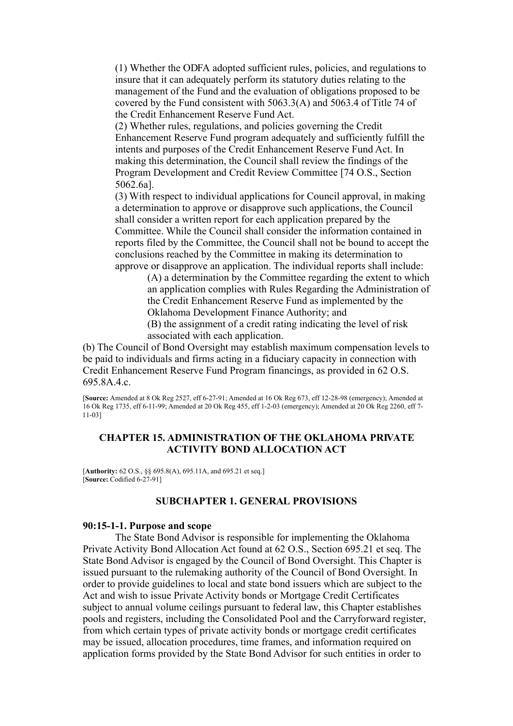(1) Whether the ODFA adopted sufficient rules, policies, and regulations to insure that it can adequately perform its statutory duties relating to the management of the Fund and the evaluation of obligations proposed to be covered by the Fund consistent with 5063.3(A) and 5063.4 of Title 74 of the Credit Enhancement Reserve Fund Act.

(2) Whether rules, regulations, and policies governing the Credit Enhancement Reserve Fund program adequately and sufficiently fulfill the intents and purposes of the Credit Enhancement Reserve Fund Act. In making this determination, the Council shall review the findings of the Program Development and Credit Review Committee [74 O.S., Section 5062.6a].

(3) With respect to individual applications for Council approval, in making a determination to approve or disapprove such applications, the Council shall consider a written report for each application prepared by the Committee. While the Council shall consider the information contained in reports filed by the Committee, the Council shall not be bound to accept the conclusions reached by the Committee in making its determination to approve or disapprove an application. The individual reports shall include:

(A) a determination by the Committee regarding the extent to which an application complies with Rules Regarding the Administration of the Credit Enhancement Reserve Fund as implemented by the Oklahoma Development Finance Authority; and

(B) the assignment of a credit rating indicating the level of risk associated with each application.

(b) The Council of Bond Oversight may establish maximum compensation levels to be paid to individuals and firms acting in a fiduciary capacity in connection with Credit Enhancement Reserve Fund Program financings, as provided in 62 O.S. 695.8A.4.c.

[**Source:** Amended at 8 Ok Reg 2527, eff 6-27-91; Amended at 16 Ok Reg 673, eff 12-28-98 (emergency); Amended at 16 Ok Reg 1735, eff 6-11-99; Amended at 20 Ok Reg 455, eff 1-2-03 (emergency); Amended at 20 Ok Reg 2260, eff 7- 11-03]

## **CHAPTER 15. ADMINISTRATION OF THE OKLAHOMA PRIVATE ACTIVITY BOND ALLOCATION ACT**

[**Authority:** 62 O.S., §§ 695.8(A), 695.11A, and 695.21 et seq.] [**Source:** Codified 6-27-91]

## **SUBCHAPTER 1. GENERAL PROVISIONS**

### **90:15-1-1. Purpose and scope**

The State Bond Advisor is responsible for implementing the Oklahoma Private Activity Bond Allocation Act found at 62 O.S., Section 695.21 et seq. The State Bond Advisor is engaged by the Council of Bond Oversight. This Chapter is issued pursuant to the rulemaking authority of the Council of Bond Oversight. In order to provide guidelines to local and state bond issuers which are subject to the Act and wish to issue Private Activity bonds or Mortgage Credit Certificates subject to annual volume ceilings pursuant to federal law, this Chapter establishes pools and registers, including the Consolidated Pool and the Carryforward register, from which certain types of private activity bonds or mortgage credit certificates may be issued, allocation procedures, time frames, and information required on application forms provided by the State Bond Advisor for such entities in order to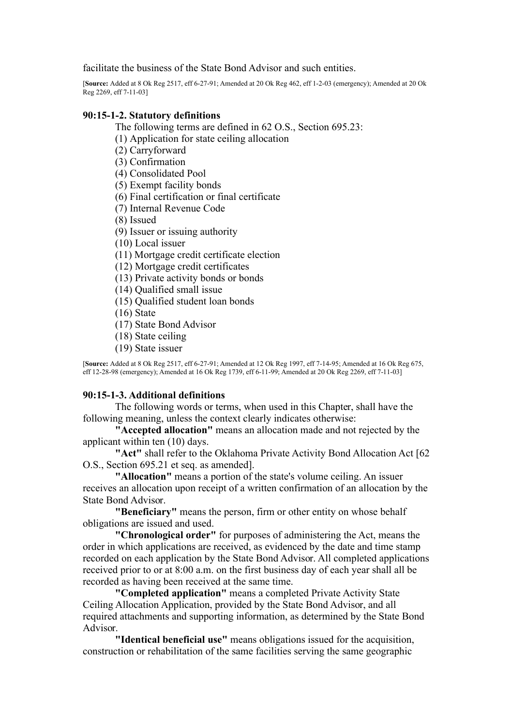facilitate the business of the State Bond Advisor and such entities.

[**Source:** Added at 8 Ok Reg 2517, eff 6-27-91; Amended at 20 Ok Reg 462, eff 1-2-03 (emergency); Amended at 20 Ok Reg 2269, eff 7-11-031

## **90:15-1-2. Statutory definitions**

The following terms are defined in 62 O.S., Section 695.23:

(1) Application for state ceiling allocation

(2) Carryforward

(3) Confirmation

(4) Consolidated Pool

(5) Exempt facility bonds

(6) Final certification or final certificate

(7) Internal Revenue Code

(8) Issued

(9) Issuer or issuing authority

(10) Local issuer

(11) Mortgage credit certificate election

(12) Mortgage credit certificates

(13) Private activity bonds or bonds

(14) Qualified small issue

(15) Qualified student loan bonds

(16) State

(17) State Bond Advisor

(18) State ceiling

(19) State issuer

[**Source:** Added at 8 Ok Reg 2517, eff 6-27-91; Amended at 12 Ok Reg 1997, eff 7-14-95; Amended at 16 Ok Reg 675, eff 12-28-98 (emergency); Amended at 16 Ok Reg 1739, eff 6-11-99; Amended at 20 Ok Reg 2269, eff 7-11-03]

# **90:15-1-3. Additional definitions**

The following words or terms, when used in this Chapter, shall have the following meaning, unless the context clearly indicates otherwise:

**"Accepted allocation"** means an allocation made and not rejected by the applicant within ten (10) days.

**"Act"** shall refer to the Oklahoma Private Activity Bond Allocation Act [62 O.S., Section 695.21 et seq. as amended].

**"Allocation"** means a portion of the state's volume ceiling. An issuer receives an allocation upon receipt of a written confirmation of an allocation by the State Bond Advisor.

**"Beneficiary"** means the person, firm or other entity on whose behalf obligations are issued and used.

**"Chronological order"** for purposes of administering the Act, means the order in which applications are received, as evidenced by the date and time stamp recorded on each application by the State Bond Advisor. All completed applications received prior to or at 8:00 a.m. on the first business day of each year shall all be recorded as having been received at the same time.

**"Completed application"** means a completed Private Activity State Ceiling Allocation Application, provided by the State Bond Advisor, and all required attachments and supporting information, as determined by the State Bond Advisor.

**"Identical beneficial use"** means obligations issued for the acquisition, construction or rehabilitation of the same facilities serving the same geographic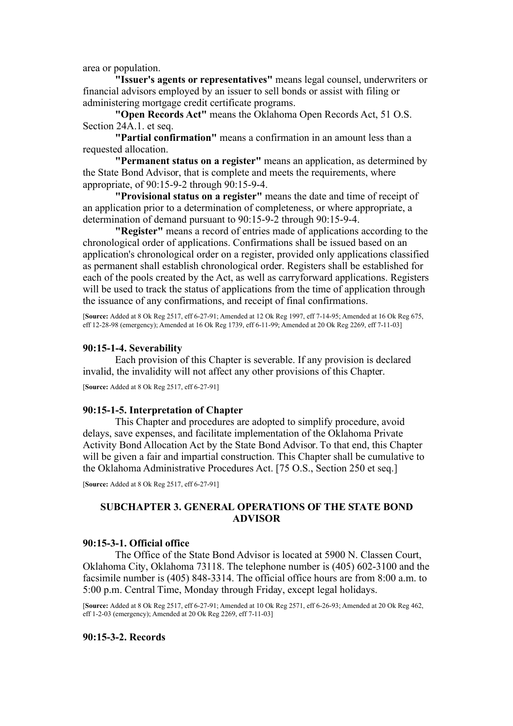area or population.

**"Issuer's agents or representatives"** means legal counsel, underwriters or financial advisors employed by an issuer to sell bonds or assist with filing or administering mortgage credit certificate programs.

**"Open Records Act"** means the Oklahoma Open Records Act, 51 O.S. Section 24A.1. et seq.

**"Partial confirmation"** means a confirmation in an amount less than a requested allocation.

**"Permanent status on a register"** means an application, as determined by the State Bond Advisor, that is complete and meets the requirements, where appropriate, of 90:15-9-2 through 90:15-9-4.

**"Provisional status on a register"** means the date and time of receipt of an application prior to a determination of completeness, or where appropriate, a determination of demand pursuant to 90:15-9-2 through 90:15-9-4.

**"Register"** means a record of entries made of applications according to the chronological order of applications. Confirmations shall be issued based on an application's chronological order on a register, provided only applications classified as permanent shall establish chronological order. Registers shall be established for each of the pools created by the Act, as well as carryforward applications. Registers will be used to track the status of applications from the time of application through the issuance of any confirmations, and receipt of final confirmations.

[**Source:** Added at 8 Ok Reg 2517, eff 6-27-91; Amended at 12 Ok Reg 1997, eff 7-14-95; Amended at 16 Ok Reg 675, eff 12-28-98 (emergency); Amended at 16 Ok Reg 1739, eff 6-11-99; Amended at 20 Ok Reg 2269, eff 7-11-03]

### **90:15-1-4. Severability**

Each provision of this Chapter is severable. If any provision is declared invalid, the invalidity will not affect any other provisions of this Chapter.

[**Source:** Added at 8 Ok Reg 2517, eff 6-27-91]

#### **90:15-1-5. Interpretation of Chapter**

This Chapter and procedures are adopted to simplify procedure, avoid delays, save expenses, and facilitate implementation of the Oklahoma Private Activity Bond Allocation Act by the State Bond Advisor. To that end, this Chapter will be given a fair and impartial construction. This Chapter shall be cumulative to the Oklahoma Administrative Procedures Act. [75 O.S., Section 250 et seq.]

[**Source:** Added at 8 Ok Reg 2517, eff 6-27-91]

# **SUBCHAPTER 3. GENERAL OPERATIONS OF THE STATE BOND ADVISOR**

## **90:15-3-1. Official office**

The Office of the State Bond Advisor is located at 5900 N. Classen Court, Oklahoma City, Oklahoma 73118. The telephone number is (405) 602-3100 and the facsimile number is (405) 848-3314. The official office hours are from 8:00 a.m. to 5:00 p.m. Central Time, Monday through Friday, except legal holidays.

[**Source:** Added at 8 Ok Reg 2517, eff 6-27-91; Amended at 10 Ok Reg 2571, eff 6-26-93; Amended at 20 Ok Reg 462, eff 1-2-03 (emergency); Amended at 20 Ok Reg 2269, eff 7-11-03]

## **90:15-3-2. Records**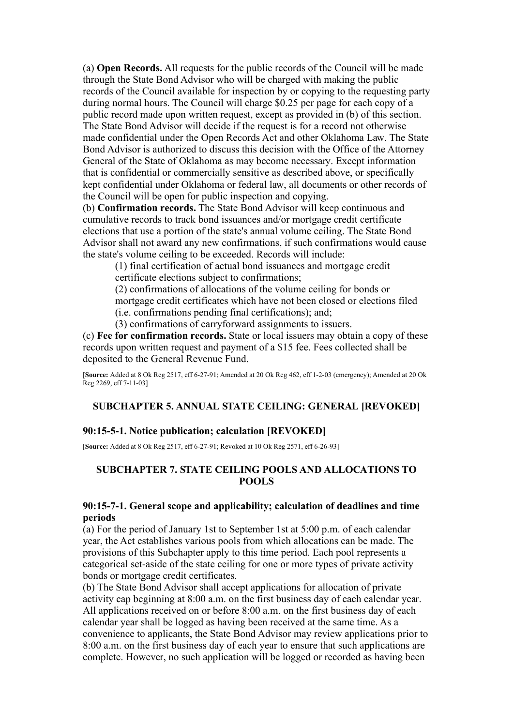(a) **Open Records.** All requests for the public records of the Council will be made through the State Bond Advisor who will be charged with making the public records of the Council available for inspection by or copying to the requesting party during normal hours. The Council will charge \$0.25 per page for each copy of a public record made upon written request, except as provided in (b) of this section. The State Bond Advisor will decide if the request is for a record not otherwise made confidential under the Open Records Act and other Oklahoma Law. The State Bond Advisor is authorized to discuss this decision with the Office of the Attorney General of the State of Oklahoma as may become necessary. Except information that is confidential or commercially sensitive as described above, or specifically kept confidential under Oklahoma or federal law, all documents or other records of the Council will be open for public inspection and copying.

(b) **Confirmation records.** The State Bond Advisor will keep continuous and cumulative records to track bond issuances and/or mortgage credit certificate elections that use a portion of the state's annual volume ceiling. The State Bond Advisor shall not award any new confirmations, if such confirmations would cause the state's volume ceiling to be exceeded. Records will include:

(1) final certification of actual bond issuances and mortgage credit certificate elections subject to confirmations;

(2) confirmations of allocations of the volume ceiling for bonds or mortgage credit certificates which have not been closed or elections filed (i.e. confirmations pending final certifications); and;

(3) confirmations of carryforward assignments to issuers.

(c) **Fee for confirmation records.** State or local issuers may obtain a copy of these records upon written request and payment of a \$15 fee. Fees collected shall be deposited to the General Revenue Fund.

[**Source:** Added at 8 Ok Reg 2517, eff 6-27-91; Amended at 20 Ok Reg 462, eff 1-2-03 (emergency); Amended at 20 Ok Reg 2269, eff 7-11-03]

# **SUBCHAPTER 5. ANNUAL STATE CEILING: GENERAL [REVOKED]**

# **90:15-5-1. Notice publication; calculation [REVOKED]**

[**Source:** Added at 8 Ok Reg 2517, eff 6-27-91; Revoked at 10 Ok Reg 2571, eff 6-26-93]

# **SUBCHAPTER 7. STATE CEILING POOLS AND ALLOCATIONS TO POOLS**

# **90:15-7-1. General scope and applicability; calculation of deadlines and time periods**

(a) For the period of January 1st to September 1st at 5:00 p.m. of each calendar year, the Act establishes various pools from which allocations can be made. The provisions of this Subchapter apply to this time period. Each pool represents a categorical set-aside of the state ceiling for one or more types of private activity bonds or mortgage credit certificates.

(b) The State Bond Advisor shall accept applications for allocation of private activity cap beginning at 8:00 a.m. on the first business day of each calendar year. All applications received on or before 8:00 a.m. on the first business day of each calendar year shall be logged as having been received at the same time. As a convenience to applicants, the State Bond Advisor may review applications prior to 8:00 a.m. on the first business day of each year to ensure that such applications are complete. However, no such application will be logged or recorded as having been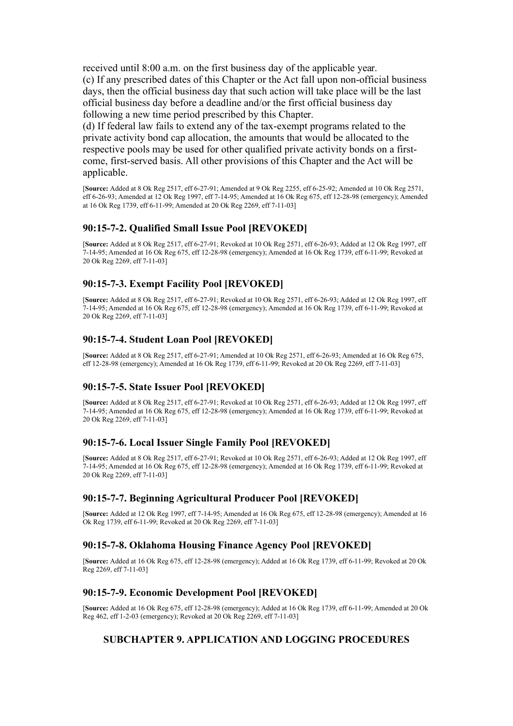received until 8:00 a.m. on the first business day of the applicable year. (c) If any prescribed dates of this Chapter or the Act fall upon non-official business days, then the official business day that such action will take place will be the last official business day before a deadline and/or the first official business day following a new time period prescribed by this Chapter.

(d) If federal law fails to extend any of the tax-exempt programs related to the private activity bond cap allocation, the amounts that would be allocated to the respective pools may be used for other qualified private activity bonds on a firstcome, first-served basis. All other provisions of this Chapter and the Act will be applicable.

[**Source:** Added at 8 Ok Reg 2517, eff 6-27-91; Amended at 9 Ok Reg 2255, eff 6-25-92; Amended at 10 Ok Reg 2571, eff 6-26-93; Amended at 12 Ok Reg 1997, eff 7-14-95; Amended at 16 Ok Reg 675, eff 12-28-98 (emergency); Amended at 16 Ok Reg 1739, eff 6-11-99; Amended at 20 Ok Reg 2269, eff 7-11-03]

## **90:15-7-2. Qualified Small Issue Pool [REVOKED]**

[**Source:** Added at 8 Ok Reg 2517, eff 6-27-91; Revoked at 10 Ok Reg 2571, eff 6-26-93; Added at 12 Ok Reg 1997, eff 7-14-95; Amended at 16 Ok Reg 675, eff 12-28-98 (emergency); Amended at 16 Ok Reg 1739, eff 6-11-99; Revoked at 20 Ok Reg 2269, eff 7-11-03]

# **90:15-7-3. Exempt Facility Pool [REVOKED]**

[**Source:** Added at 8 Ok Reg 2517, eff 6-27-91; Revoked at 10 Ok Reg 2571, eff 6-26-93; Added at 12 Ok Reg 1997, eff 7-14-95; Amended at 16 Ok Reg 675, eff 12-28-98 (emergency); Amended at 16 Ok Reg 1739, eff 6-11-99; Revoked at 20 Ok Reg 2269, eff 7-11-03]

## **90:15-7-4. Student Loan Pool [REVOKED]**

[**Source:** Added at 8 Ok Reg 2517, eff 6-27-91; Amended at 10 Ok Reg 2571, eff 6-26-93; Amended at 16 Ok Reg 675, eff 12-28-98 (emergency); Amended at 16 Ok Reg 1739, eff 6-11-99; Revoked at 20 Ok Reg 2269, eff 7-11-03]

# **90:15-7-5. State Issuer Pool [REVOKED]**

[**Source:** Added at 8 Ok Reg 2517, eff 6-27-91; Revoked at 10 Ok Reg 2571, eff 6-26-93; Added at 12 Ok Reg 1997, eff 7-14-95; Amended at 16 Ok Reg 675, eff 12-28-98 (emergency); Amended at 16 Ok Reg 1739, eff 6-11-99; Revoked at 20 Ok Reg 2269, eff 7-11-03]

# **90:15-7-6. Local Issuer Single Family Pool [REVOKED]**

[**Source:** Added at 8 Ok Reg 2517, eff 6-27-91; Revoked at 10 Ok Reg 2571, eff 6-26-93; Added at 12 Ok Reg 1997, eff 7-14-95; Amended at 16 Ok Reg 675, eff 12-28-98 (emergency); Amended at 16 Ok Reg 1739, eff 6-11-99; Revoked at 20 Ok Reg 2269, eff 7-11-03]

# **90:15-7-7. Beginning Agricultural Producer Pool [REVOKED]**

[**Source:** Added at 12 Ok Reg 1997, eff 7-14-95; Amended at 16 Ok Reg 675, eff 12-28-98 (emergency); Amended at 16 Ok Reg 1739, eff 6-11-99; Revoked at 20 Ok Reg 2269, eff 7-11-03]

# **90:15-7-8. Oklahoma Housing Finance Agency Pool [REVOKED]**

[**Source:** Added at 16 Ok Reg 675, eff 12-28-98 (emergency); Added at 16 Ok Reg 1739, eff 6-11-99; Revoked at 20 Ok Reg 2269, eff 7-11-03]

### **90:15-7-9. Economic Development Pool [REVOKED]**

[**Source:** Added at 16 Ok Reg 675, eff 12-28-98 (emergency); Added at 16 Ok Reg 1739, eff 6-11-99; Amended at 20 Ok Reg 462, eff 1-2-03 (emergency); Revoked at 20 Ok Reg 2269, eff 7-11-03]

# **SUBCHAPTER 9. APPLICATION AND LOGGING PROCEDURES**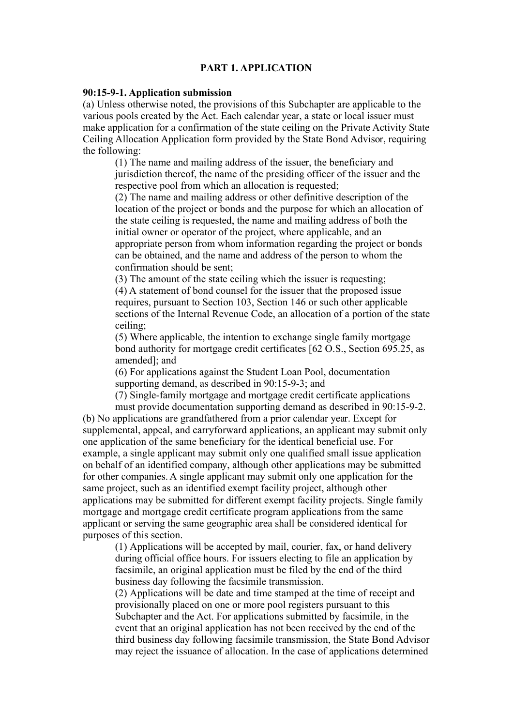### **PART 1. APPLICATION**

### **90:15-9-1. Application submission**

(a) Unless otherwise noted, the provisions of this Subchapter are applicable to the various pools created by the Act. Each calendar year, a state or local issuer must make application for a confirmation of the state ceiling on the Private Activity State Ceiling Allocation Application form provided by the State Bond Advisor, requiring the following:

(1) The name and mailing address of the issuer, the beneficiary and jurisdiction thereof, the name of the presiding officer of the issuer and the respective pool from which an allocation is requested;

(2) The name and mailing address or other definitive description of the location of the project or bonds and the purpose for which an allocation of the state ceiling is requested, the name and mailing address of both the initial owner or operator of the project, where applicable, and an appropriate person from whom information regarding the project or bonds can be obtained, and the name and address of the person to whom the confirmation should be sent;

(3) The amount of the state ceiling which the issuer is requesting;

(4) A statement of bond counsel for the issuer that the proposed issue requires, pursuant to Section 103, Section 146 or such other applicable sections of the Internal Revenue Code, an allocation of a portion of the state ceiling;

(5) Where applicable, the intention to exchange single family mortgage bond authority for mortgage credit certificates [62 O.S., Section 695.25, as amended]; and

(6) For applications against the Student Loan Pool, documentation supporting demand, as described in 90:15-9-3; and

(7) Single-family mortgage and mortgage credit certificate applications

must provide documentation supporting demand as described in 90:15-9-2. (b) No applications are grandfathered from a prior calendar year. Except for supplemental, appeal, and carryforward applications, an applicant may submit only one application of the same beneficiary for the identical beneficial use. For example, a single applicant may submit only one qualified small issue application on behalf of an identified company, although other applications may be submitted for other companies. A single applicant may submit only one application for the same project, such as an identified exempt facility project, although other applications may be submitted for different exempt facility projects. Single family mortgage and mortgage credit certificate program applications from the same applicant or serving the same geographic area shall be considered identical for purposes of this section.

(1) Applications will be accepted by mail, courier, fax, or hand delivery during official office hours. For issuers electing to file an application by facsimile, an original application must be filed by the end of the third business day following the facsimile transmission.

(2) Applications will be date and time stamped at the time of receipt and provisionally placed on one or more pool registers pursuant to this Subchapter and the Act. For applications submitted by facsimile, in the event that an original application has not been received by the end of the third business day following facsimile transmission, the State Bond Advisor may reject the issuance of allocation. In the case of applications determined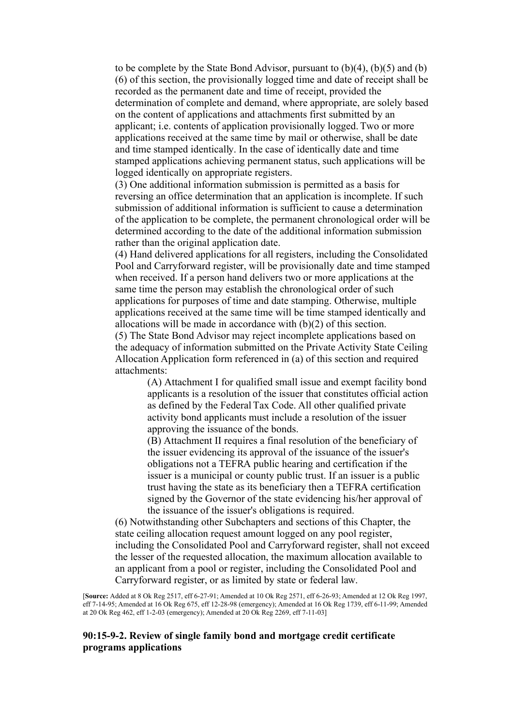to be complete by the State Bond Advisor, pursuant to (b)(4), (b)(5) and (b) (6) of this section, the provisionally logged time and date of receipt shall be recorded as the permanent date and time of receipt, provided the determination of complete and demand, where appropriate, are solely based on the content of applications and attachments first submitted by an applicant; i.e. contents of application provisionally logged. Two or more applications received at the same time by mail or otherwise, shall be date and time stamped identically. In the case of identically date and time stamped applications achieving permanent status, such applications will be logged identically on appropriate registers.

(3) One additional information submission is permitted as a basis for reversing an office determination that an application is incomplete. If such submission of additional information is sufficient to cause a determination of the application to be complete, the permanent chronological order will be determined according to the date of the additional information submission rather than the original application date.

(4) Hand delivered applications for all registers, including the Consolidated Pool and Carryforward register, will be provisionally date and time stamped when received. If a person hand delivers two or more applications at the same time the person may establish the chronological order of such applications for purposes of time and date stamping. Otherwise, multiple applications received at the same time will be time stamped identically and allocations will be made in accordance with (b)(2) of this section. (5) The State Bond Advisor may reject incomplete applications based on the adequacy of information submitted on the Private Activity State Ceiling Allocation Application form referenced in (a) of this section and required attachments:

> (A) Attachment I for qualified small issue and exempt facility bond applicants is a resolution of the issuer that constitutes official action as defined by the Federal Tax Code. All other qualified private activity bond applicants must include a resolution of the issuer approving the issuance of the bonds.

(B) Attachment II requires a final resolution of the beneficiary of the issuer evidencing its approval of the issuance of the issuer's obligations not a TEFRA public hearing and certification if the issuer is a municipal or county public trust. If an issuer is a public trust having the state as its beneficiary then a TEFRA certification signed by the Governor of the state evidencing his/her approval of the issuance of the issuer's obligations is required.

(6) Notwithstanding other Subchapters and sections of this Chapter, the state ceiling allocation request amount logged on any pool register, including the Consolidated Pool and Carryforward register, shall not exceed the lesser of the requested allocation, the maximum allocation available to an applicant from a pool or register, including the Consolidated Pool and Carryforward register, or as limited by state or federal law.

[**Source:** Added at 8 Ok Reg 2517, eff 6-27-91; Amended at 10 Ok Reg 2571, eff 6-26-93; Amended at 12 Ok Reg 1997, eff 7-14-95; Amended at 16 Ok Reg 675, eff 12-28-98 (emergency); Amended at 16 Ok Reg 1739, eff 6-11-99; Amended at 20 Ok Reg 462, eff 1-2-03 (emergency); Amended at 20 Ok Reg 2269, eff 7-11-03]

## **90:15-9-2. Review of single family bond and mortgage credit certificate programs applications**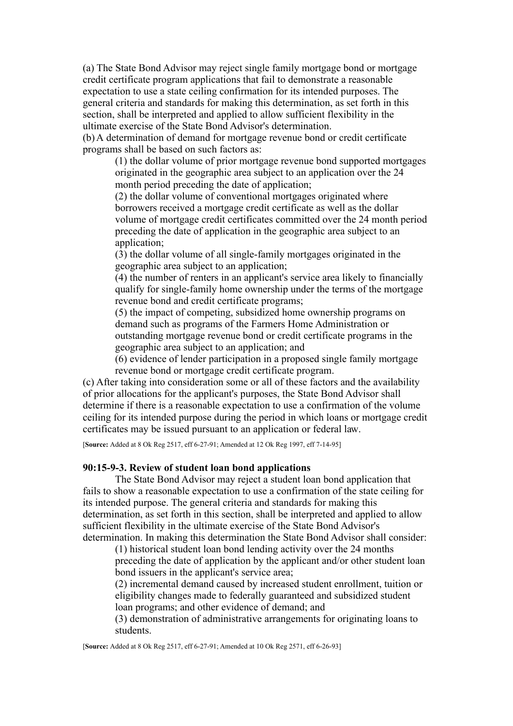(a) The State Bond Advisor may reject single family mortgage bond or mortgage credit certificate program applications that fail to demonstrate a reasonable expectation to use a state ceiling confirmation for its intended purposes. The general criteria and standards for making this determination, as set forth in this section, shall be interpreted and applied to allow sufficient flexibility in the ultimate exercise of the State Bond Advisor's determination.

(b) A determination of demand for mortgage revenue bond or credit certificate programs shall be based on such factors as:

(1) the dollar volume of prior mortgage revenue bond supported mortgages originated in the geographic area subject to an application over the 24 month period preceding the date of application;

(2) the dollar volume of conventional mortgages originated where borrowers received a mortgage credit certificate as well as the dollar volume of mortgage credit certificates committed over the 24 month period preceding the date of application in the geographic area subject to an application;

(3) the dollar volume of all single-family mortgages originated in the geographic area subject to an application;

(4) the number of renters in an applicant's service area likely to financially qualify for single-family home ownership under the terms of the mortgage revenue bond and credit certificate programs;

(5) the impact of competing, subsidized home ownership programs on demand such as programs of the Farmers Home Administration or outstanding mortgage revenue bond or credit certificate programs in the geographic area subject to an application; and

(6) evidence of lender participation in a proposed single family mortgage revenue bond or mortgage credit certificate program.

(c) After taking into consideration some or all of these factors and the availability of prior allocations for the applicant's purposes, the State Bond Advisor shall determine if there is a reasonable expectation to use a confirmation of the volume ceiling for its intended purpose during the period in which loans or mortgage credit certificates may be issued pursuant to an application or federal law.

[**Source:** Added at 8 Ok Reg 2517, eff 6-27-91; Amended at 12 Ok Reg 1997, eff 7-14-95]

### **90:15-9-3. Review of student loan bond applications**

The State Bond Advisor may reject a student loan bond application that fails to show a reasonable expectation to use a confirmation of the state ceiling for its intended purpose. The general criteria and standards for making this determination, as set forth in this section, shall be interpreted and applied to allow sufficient flexibility in the ultimate exercise of the State Bond Advisor's determination. In making this determination the State Bond Advisor shall consider:

(1) historical student loan bond lending activity over the 24 months preceding the date of application by the applicant and/or other student loan bond issuers in the applicant's service area;

(2) incremental demand caused by increased student enrollment, tuition or eligibility changes made to federally guaranteed and subsidized student loan programs; and other evidence of demand; and

(3) demonstration of administrative arrangements for originating loans to students.

[**Source:** Added at 8 Ok Reg 2517, eff 6-27-91; Amended at 10 Ok Reg 2571, eff 6-26-93]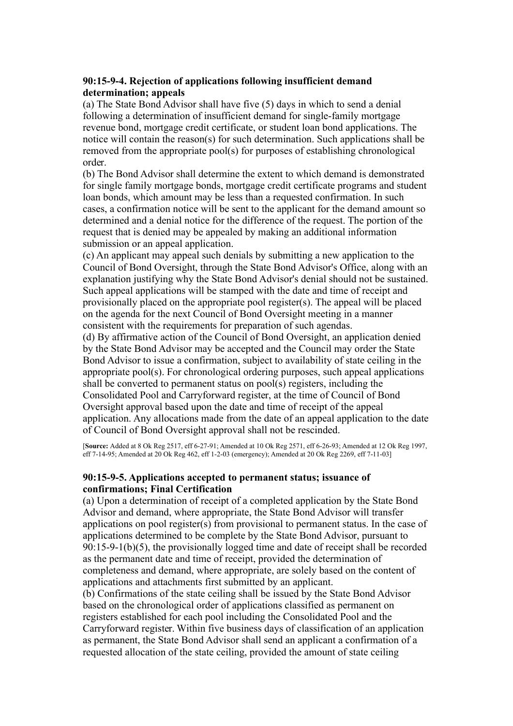# **90:15-9-4. Rejection of applications following insufficient demand determination; appeals**

(a) The State Bond Advisor shall have five (5) days in which to send a denial following a determination of insufficient demand for single-family mortgage revenue bond, mortgage credit certificate, or student loan bond applications. The notice will contain the reason(s) for such determination. Such applications shall be removed from the appropriate pool(s) for purposes of establishing chronological order.

(b) The Bond Advisor shall determine the extent to which demand is demonstrated for single family mortgage bonds, mortgage credit certificate programs and student loan bonds, which amount may be less than a requested confirmation. In such cases, a confirmation notice will be sent to the applicant for the demand amount so determined and a denial notice for the difference of the request. The portion of the request that is denied may be appealed by making an additional information submission or an appeal application.

(c) An applicant may appeal such denials by submitting a new application to the Council of Bond Oversight, through the State Bond Advisor's Office, along with an explanation justifying why the State Bond Advisor's denial should not be sustained. Such appeal applications will be stamped with the date and time of receipt and provisionally placed on the appropriate pool register(s). The appeal will be placed on the agenda for the next Council of Bond Oversight meeting in a manner consistent with the requirements for preparation of such agendas.

(d) By affirmative action of the Council of Bond Oversight, an application denied by the State Bond Advisor may be accepted and the Council may order the State Bond Advisor to issue a confirmation, subject to availability of state ceiling in the appropriate pool(s). For chronological ordering purposes, such appeal applications shall be converted to permanent status on pool(s) registers, including the Consolidated Pool and Carryforward register, at the time of Council of Bond Oversight approval based upon the date and time of receipt of the appeal application. Any allocations made from the date of an appeal application to the date of Council of Bond Oversight approval shall not be rescinded.

[**Source:** Added at 8 Ok Reg 2517, eff 6-27-91; Amended at 10 Ok Reg 2571, eff 6-26-93; Amended at 12 Ok Reg 1997, eff 7-14-95; Amended at 20 Ok Reg 462, eff 1-2-03 (emergency); Amended at 20 Ok Reg 2269, eff 7-11-03]

# **90:15-9-5. Applications accepted to permanent status; issuance of confirmations; Final Certification**

(a) Upon a determination of receipt of a completed application by the State Bond Advisor and demand, where appropriate, the State Bond Advisor will transfer applications on pool register(s) from provisional to permanent status. In the case of applications determined to be complete by the State Bond Advisor, pursuant to 90:15-9-1(b)(5), the provisionally logged time and date of receipt shall be recorded as the permanent date and time of receipt, provided the determination of completeness and demand, where appropriate, are solely based on the content of applications and attachments first submitted by an applicant.

(b) Confirmations of the state ceiling shall be issued by the State Bond Advisor based on the chronological order of applications classified as permanent on registers established for each pool including the Consolidated Pool and the Carryforward register. Within five business days of classification of an application as permanent, the State Bond Advisor shall send an applicant a confirmation of a requested allocation of the state ceiling, provided the amount of state ceiling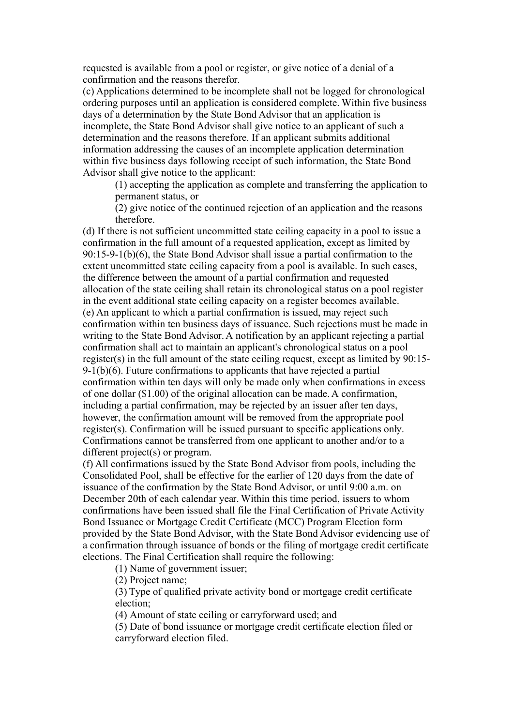requested is available from a pool or register, or give notice of a denial of a confirmation and the reasons therefor.

(c) Applications determined to be incomplete shall not be logged for chronological ordering purposes until an application is considered complete. Within five business days of a determination by the State Bond Advisor that an application is incomplete, the State Bond Advisor shall give notice to an applicant of such a determination and the reasons therefore. If an applicant submits additional information addressing the causes of an incomplete application determination within five business days following receipt of such information, the State Bond Advisor shall give notice to the applicant:

(1) accepting the application as complete and transferring the application to permanent status, or

(2) give notice of the continued rejection of an application and the reasons therefore.

(d) If there is not sufficient uncommitted state ceiling capacity in a pool to issue a confirmation in the full amount of a requested application, except as limited by 90:15-9-1(b)(6), the State Bond Advisor shall issue a partial confirmation to the extent uncommitted state ceiling capacity from a pool is available. In such cases, the difference between the amount of a partial confirmation and requested allocation of the state ceiling shall retain its chronological status on a pool register in the event additional state ceiling capacity on a register becomes available. (e) An applicant to which a partial confirmation is issued, may reject such confirmation within ten business days of issuance. Such rejections must be made in writing to the State Bond Advisor. A notification by an applicant rejecting a partial confirmation shall act to maintain an applicant's chronological status on a pool register(s) in the full amount of the state ceiling request, except as limited by 90:15-  $9-1(b)(6)$ . Future confirmations to applicants that have rejected a partial confirmation within ten days will only be made only when confirmations in excess of one dollar (\$1.00) of the original allocation can be made. A confirmation, including a partial confirmation, may be rejected by an issuer after ten days, however, the confirmation amount will be removed from the appropriate pool register(s). Confirmation will be issued pursuant to specific applications only. Confirmations cannot be transferred from one applicant to another and/or to a different project(s) or program.

(f) All confirmations issued by the State Bond Advisor from pools, including the Consolidated Pool, shall be effective for the earlier of 120 days from the date of issuance of the confirmation by the State Bond Advisor, or until 9:00 a.m. on December 20th of each calendar year. Within this time period, issuers to whom confirmations have been issued shall file the Final Certification of Private Activity Bond Issuance or Mortgage Credit Certificate (MCC) Program Election form provided by the State Bond Advisor, with the State Bond Advisor evidencing use of a confirmation through issuance of bonds or the filing of mortgage credit certificate elections. The Final Certification shall require the following:

(1) Name of government issuer;

(2) Project name;

(3) Type of qualified private activity bond or mortgage credit certificate election;

(4) Amount of state ceiling or carryforward used; and

(5) Date of bond issuance or mortgage credit certificate election filed or carryforward election filed.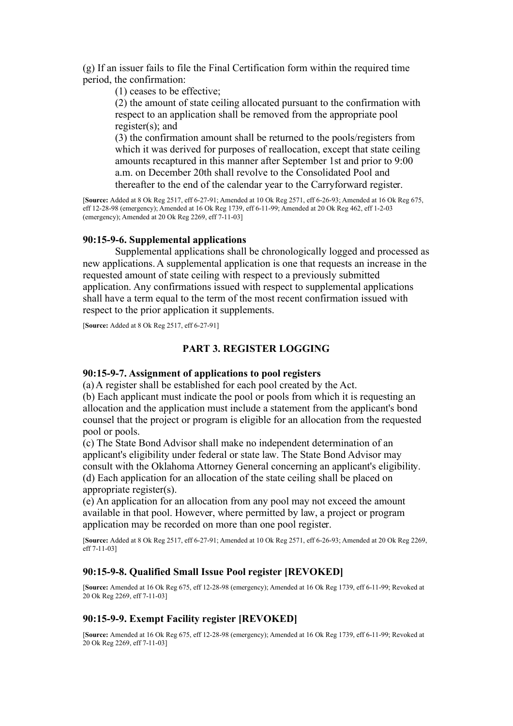(g) If an issuer fails to file the Final Certification form within the required time period, the confirmation:

(1) ceases to be effective;

(2) the amount of state ceiling allocated pursuant to the confirmation with respect to an application shall be removed from the appropriate pool register(s); and

(3) the confirmation amount shall be returned to the pools/registers from which it was derived for purposes of reallocation, except that state ceiling amounts recaptured in this manner after September 1st and prior to 9:00 a.m. on December 20th shall revolve to the Consolidated Pool and thereafter to the end of the calendar year to the Carryforward register.

[**Source:** Added at 8 Ok Reg 2517, eff 6-27-91; Amended at 10 Ok Reg 2571, eff 6-26-93; Amended at 16 Ok Reg 675, eff 12-28-98 (emergency); Amended at 16 Ok Reg 1739, eff 6-11-99; Amended at 20 Ok Reg 462, eff 1-2-03 (emergency); Amended at 20 Ok Reg 2269, eff 7-11-03]

## **90:15-9-6. Supplemental applications**

Supplemental applications shall be chronologically logged and processed as new applications. A supplemental application is one that requests an increase in the requested amount of state ceiling with respect to a previously submitted application. Any confirmations issued with respect to supplemental applications shall have a term equal to the term of the most recent confirmation issued with respect to the prior application it supplements.

[**Source:** Added at 8 Ok Reg 2517, eff 6-27-91]

## **PART 3. REGISTER LOGGING**

## **90:15-9-7. Assignment of applications to pool registers**

(a) A register shall be established for each pool created by the Act.

(b) Each applicant must indicate the pool or pools from which it is requesting an allocation and the application must include a statement from the applicant's bond counsel that the project or program is eligible for an allocation from the requested pool or pools.

(c) The State Bond Advisor shall make no independent determination of an applicant's eligibility under federal or state law. The State Bond Advisor may consult with the Oklahoma Attorney General concerning an applicant's eligibility. (d) Each application for an allocation of the state ceiling shall be placed on appropriate register(s).

(e) An application for an allocation from any pool may not exceed the amount available in that pool. However, where permitted by law, a project or program application may be recorded on more than one pool register.

[**Source:** Added at 8 Ok Reg 2517, eff 6-27-91; Amended at 10 Ok Reg 2571, eff 6-26-93; Amended at 20 Ok Reg 2269, eff 7-11-03]

## **90:15-9-8. Qualified Small Issue Pool register [REVOKED]**

[**Source:** Amended at 16 Ok Reg 675, eff 12-28-98 (emergency); Amended at 16 Ok Reg 1739, eff 6-11-99; Revoked at 20 Ok Reg 2269, eff 7-11-03]

## **90:15-9-9. Exempt Facility register [REVOKED]**

[**Source:** Amended at 16 Ok Reg 675, eff 12-28-98 (emergency); Amended at 16 Ok Reg 1739, eff 6-11-99; Revoked at 20 Ok Reg 2269, eff 7-11-03]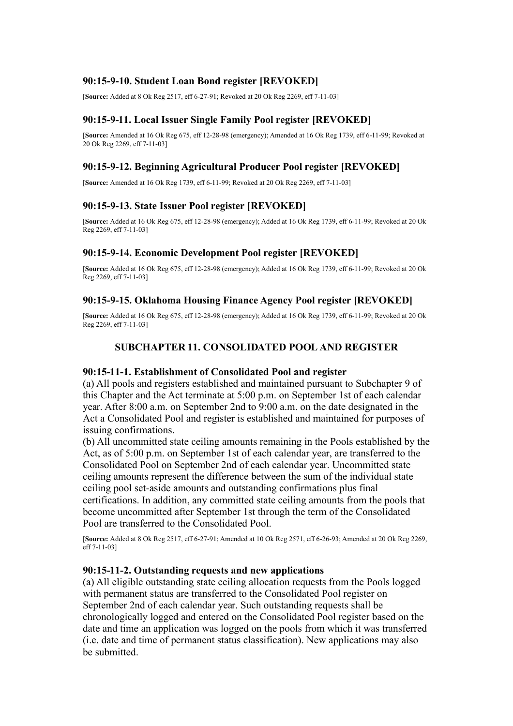# **90:15-9-10. Student Loan Bond register [REVOKED]**

[**Source:** Added at 8 Ok Reg 2517, eff 6-27-91; Revoked at 20 Ok Reg 2269, eff 7-11-03]

# **90:15-9-11. Local Issuer Single Family Pool register [REVOKED]**

[**Source:** Amended at 16 Ok Reg 675, eff 12-28-98 (emergency); Amended at 16 Ok Reg 1739, eff 6-11-99; Revoked at 20 Ok Reg 2269, eff 7-11-03]

# **90:15-9-12. Beginning Agricultural Producer Pool register [REVOKED]**

[**Source:** Amended at 16 Ok Reg 1739, eff 6-11-99; Revoked at 20 Ok Reg 2269, eff 7-11-03]

# **90:15-9-13. State Issuer Pool register [REVOKED]**

[**Source:** Added at 16 Ok Reg 675, eff 12-28-98 (emergency); Added at 16 Ok Reg 1739, eff 6-11-99; Revoked at 20 Ok Reg 2269, eff 7-11-03]

# **90:15-9-14. Economic Development Pool register [REVOKED]**

[**Source:** Added at 16 Ok Reg 675, eff 12-28-98 (emergency); Added at 16 Ok Reg 1739, eff 6-11-99; Revoked at 20 Ok Reg 2269, eff 7-11-031

## **90:15-9-15. Oklahoma Housing Finance Agency Pool register [REVOKED]**

[**Source:** Added at 16 Ok Reg 675, eff 12-28-98 (emergency); Added at 16 Ok Reg 1739, eff 6-11-99; Revoked at 20 Ok Reg 2269, eff 7-11-03]

# **SUBCHAPTER 11. CONSOLIDATED POOL AND REGISTER**

### **90:15-11-1. Establishment of Consolidated Pool and register**

(a) All pools and registers established and maintained pursuant to Subchapter 9 of this Chapter and the Act terminate at 5:00 p.m. on September 1st of each calendar year. After 8:00 a.m. on September 2nd to 9:00 a.m. on the date designated in the Act a Consolidated Pool and register is established and maintained for purposes of issuing confirmations.

(b) All uncommitted state ceiling amounts remaining in the Pools established by the Act, as of 5:00 p.m. on September 1st of each calendar year, are transferred to the Consolidated Pool on September 2nd of each calendar year. Uncommitted state ceiling amounts represent the difference between the sum of the individual state ceiling pool set-aside amounts and outstanding confirmations plus final certifications. In addition, any committed state ceiling amounts from the pools that become uncommitted after September 1st through the term of the Consolidated Pool are transferred to the Consolidated Pool.

[**Source:** Added at 8 Ok Reg 2517, eff 6-27-91; Amended at 10 Ok Reg 2571, eff 6-26-93; Amended at 20 Ok Reg 2269, eff 7-11-03]

## **90:15-11-2. Outstanding requests and new applications**

(a) All eligible outstanding state ceiling allocation requests from the Pools logged with permanent status are transferred to the Consolidated Pool register on September 2nd of each calendar year. Such outstanding requests shall be chronologically logged and entered on the Consolidated Pool register based on the date and time an application was logged on the pools from which it was transferred (i.e. date and time of permanent status classification). New applications may also be submitted.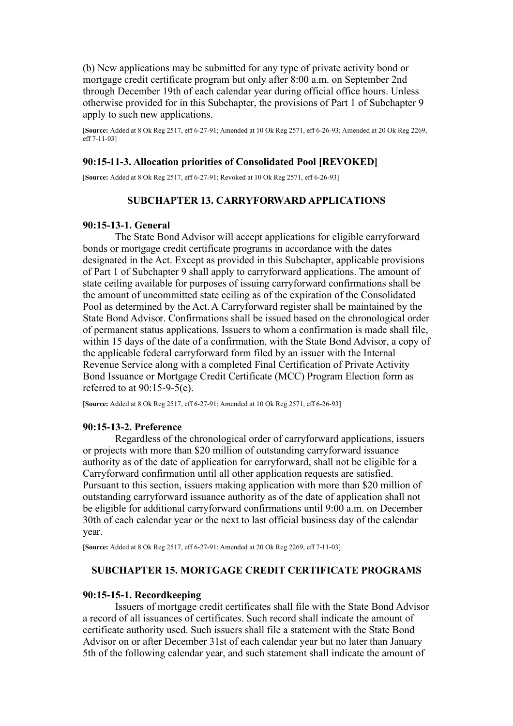(b) New applications may be submitted for any type of private activity bond or mortgage credit certificate program but only after 8:00 a.m. on September 2nd through December 19th of each calendar year during official office hours. Unless otherwise provided for in this Subchapter, the provisions of Part 1 of Subchapter 9 apply to such new applications.

[**Source:** Added at 8 Ok Reg 2517, eff 6-27-91; Amended at 10 Ok Reg 2571, eff 6-26-93; Amended at 20 Ok Reg 2269,  $eff$  7-11-031

### **90:15-11-3. Allocation priorities of Consolidated Pool [REVOKED]**

[**Source:** Added at 8 Ok Reg 2517, eff 6-27-91; Revoked at 10 Ok Reg 2571, eff 6-26-93]

## **SUBCHAPTER 13. CARRYFORWARD APPLICATIONS**

#### **90:15-13-1. General**

The State Bond Advisor will accept applications for eligible carryforward bonds or mortgage credit certificate programs in accordance with the dates designated in the Act. Except as provided in this Subchapter, applicable provisions of Part 1 of Subchapter 9 shall apply to carryforward applications. The amount of state ceiling available for purposes of issuing carryforward confirmations shall be the amount of uncommitted state ceiling as of the expiration of the Consolidated Pool as determined by the Act. A Carryforward register shall be maintained by the State Bond Advisor. Confirmations shall be issued based on the chronological order of permanent status applications. Issuers to whom a confirmation is made shall file, within 15 days of the date of a confirmation, with the State Bond Advisor, a copy of the applicable federal carryforward form filed by an issuer with the Internal Revenue Service along with a completed Final Certification of Private Activity Bond Issuance or Mortgage Credit Certificate (MCC) Program Election form as referred to at 90:15-9-5(e).

[**Source:** Added at 8 Ok Reg 2517, eff 6-27-91; Amended at 10 Ok Reg 2571, eff 6-26-93]

### **90:15-13-2. Preference**

Regardless of the chronological order of carryforward applications, issuers or projects with more than \$20 million of outstanding carryforward issuance authority as of the date of application for carryforward, shall not be eligible for a Carryforward confirmation until all other application requests are satisfied. Pursuant to this section, issuers making application with more than \$20 million of outstanding carryforward issuance authority as of the date of application shall not be eligible for additional carryforward confirmations until 9:00 a.m. on December 30th of each calendar year or the next to last official business day of the calendar year.

[**Source:** Added at 8 Ok Reg 2517, eff 6-27-91; Amended at 20 Ok Reg 2269, eff 7-11-03]

## **SUBCHAPTER 15. MORTGAGE CREDIT CERTIFICATE PROGRAMS**

#### **90:15-15-1. Recordkeeping**

Issuers of mortgage credit certificates shall file with the State Bond Advisor a record of all issuances of certificates. Such record shall indicate the amount of certificate authority used. Such issuers shall file a statement with the State Bond Advisor on or after December 31st of each calendar year but no later than January 5th of the following calendar year, and such statement shall indicate the amount of